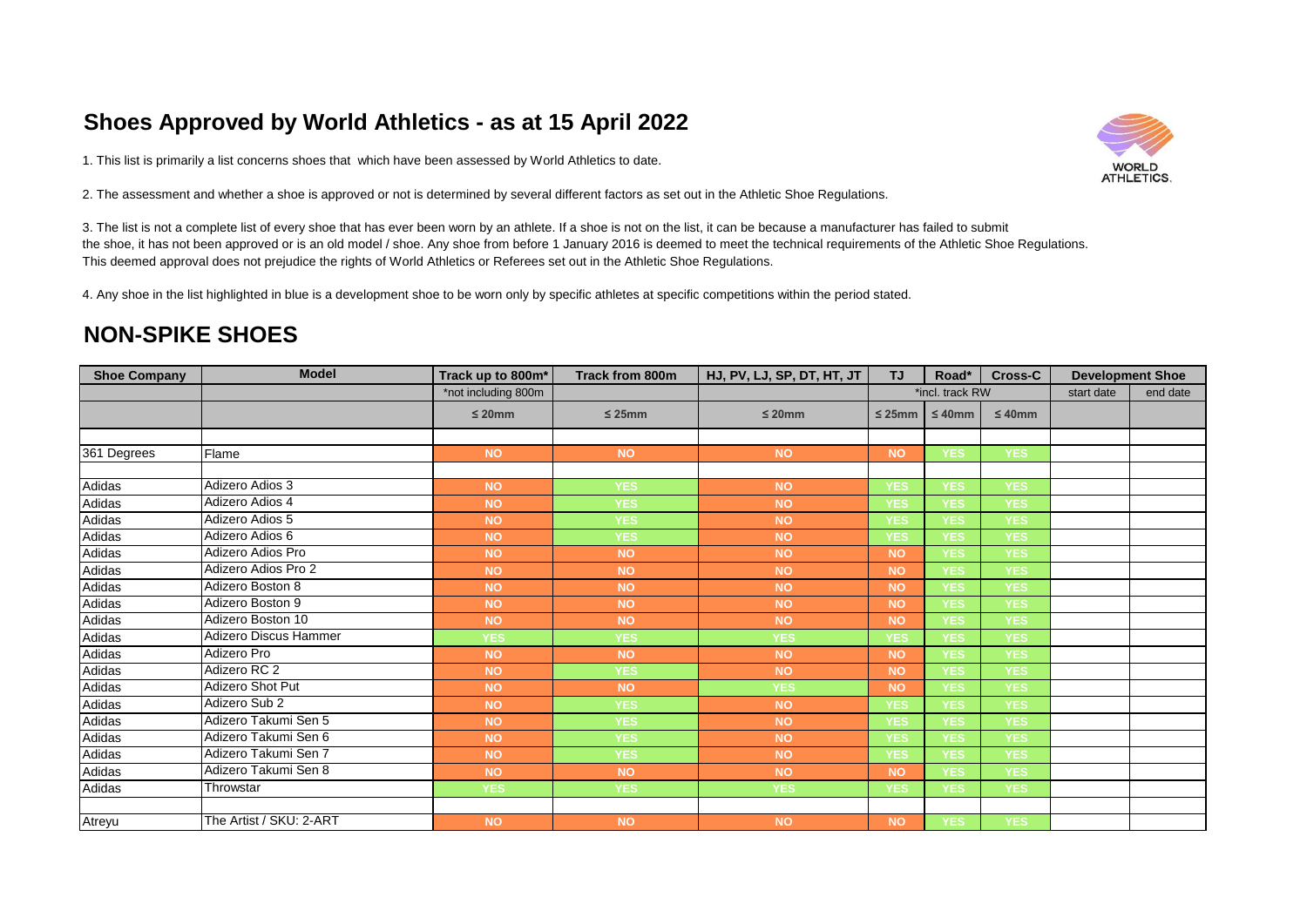## **Shoes Approved by World Athletics - as at 15 April 2022**

1. This list is primarily a list concerns shoes that which have been assessed by World Athletics to date.

2. The assessment and whether a shoe is approved or not is determined by several different factors as set out in the Athletic Shoe Regulations.

3. The list is not a complete list of every shoe that has ever been worn by an athlete. If a shoe is not on the list, it can be because a manufacturer has failed to submit the shoe, it has not been approved or is an old model / shoe. Any shoe from before 1 January 2016 is deemed to meet the technical requirements of the Athletic Shoe Regulations. This deemed approval does not prejudice the rights of World Athletics or Referees set out in the Athletic Shoe Regulations.

4. Any shoe in the list highlighted in blue is a development shoe to be worn only by specific athletes at specific competitions within the period stated.

## **NON-SPIKE SHOES**

| <b>Shoe Company</b> | <b>Model</b>            | Track up to 800m*   | <b>Track from 800m</b> | HJ, PV, LJ, SP, DT, HT, JT | <b>TJ</b>   | Road*           | Cross-C      | <b>Development Shoe</b> |          |
|---------------------|-------------------------|---------------------|------------------------|----------------------------|-------------|-----------------|--------------|-------------------------|----------|
|                     |                         | *not including 800m |                        |                            |             | *incl. track RW |              | start date              | end date |
|                     |                         | $\leq 20$ mm        | $\leq$ 25mm            | $\leq 20$ mm               | $\leq$ 25mm | $\leq 40$ mm    | $\leq 40$ mm |                         |          |
|                     |                         |                     |                        |                            |             |                 |              |                         |          |
| 361 Degrees         | Flame                   | <b>NO</b>           | <b>NO</b>              | <b>NO</b>                  | <b>NO</b>   | <b>YES</b>      | <b>YES</b>   |                         |          |
|                     |                         |                     |                        |                            |             |                 |              |                         |          |
| Adidas              | Adizero Adios 3         | <b>NO</b>           | <b>YES</b>             | <b>NO</b>                  | <b>YES</b>  | <b>YES</b>      | <b>YES</b>   |                         |          |
| Adidas              | Adizero Adios 4         | <b>NO</b>           | <b>YES</b>             | <b>NO</b>                  | <b>YES</b>  | <b>YES</b>      | <b>YES</b>   |                         |          |
| Adidas              | Adizero Adios 5         | <b>NO</b>           | <b>YES</b>             | <b>NO</b>                  | <b>YES</b>  | <b>YES</b>      | <b>YES</b>   |                         |          |
| Adidas              | Adizero Adios 6         | <b>NO</b>           | <b>YES</b>             | <b>NO</b>                  | <b>YES</b>  | <b>YES</b>      | <b>YES</b>   |                         |          |
| Adidas              | Adizero Adios Pro       | <b>NO</b>           | <b>NO</b>              | <b>NO</b>                  | <b>NO</b>   | <b>YES</b>      | <b>YES</b>   |                         |          |
| Adidas              | Adizero Adios Pro 2     | <b>NO</b>           | <b>NO</b>              | <b>NO</b>                  | <b>NO</b>   | <b>YES</b>      | <b>YES</b>   |                         |          |
| Adidas              | Adizero Boston 8        | <b>NO</b>           | <b>NO</b>              | <b>NO</b>                  | <b>NO</b>   | <b>YES</b>      | <b>YES</b>   |                         |          |
| Adidas              | Adizero Boston 9        | <b>NO</b>           | <b>NO</b>              | <b>NO</b>                  | <b>NO</b>   | <b>YES</b>      | <b>YES</b>   |                         |          |
| Adidas              | Adizero Boston 10       | <b>NO</b>           | <b>NO</b>              | <b>NO</b>                  | <b>NO</b>   | <b>YES</b>      | <b>YES</b>   |                         |          |
| Adidas              | Adizero Discus Hammer   | <b>YES</b>          | <b>YES</b>             | <b>YES</b>                 | <b>YES</b>  | <b>YES</b>      | <b>YES</b>   |                         |          |
| Adidas              | Adizero Pro             | <b>NO</b>           | <b>NO</b>              | <b>NO</b>                  | <b>NO</b>   | <b>YES</b>      | <b>YES</b>   |                         |          |
| Adidas              | Adizero RC 2            | <b>NO</b>           | <b>YES</b>             | <b>NO</b>                  | <b>NO</b>   | <b>YES</b>      | <b>YES</b>   |                         |          |
| Adidas              | <b>Adizero Shot Put</b> | <b>NO</b>           | <b>NO</b>              | <b>YES</b>                 | <b>NO</b>   | <b>YES</b>      | <b>YES</b>   |                         |          |
| Adidas              | Adizero Sub 2           | <b>NO</b>           | <b>YES</b>             | <b>NO</b>                  | <b>YES</b>  | <b>YES</b>      | <b>YES</b>   |                         |          |
| Adidas              | Adizero Takumi Sen 5    | <b>NO</b>           | <b>YES</b>             | <b>NO</b>                  | <b>YES</b>  | <b>YES</b>      | <b>YES</b>   |                         |          |
| Adidas              | Adizero Takumi Sen 6    | <b>NO</b>           | <b>YES</b>             | <b>NO</b>                  | <b>YES</b>  | <b>YES</b>      | <b>YES</b>   |                         |          |
| Adidas              | Adizero Takumi Sen 7    | <b>NO</b>           | <b>YES</b>             | <b>NO</b>                  | <b>YES</b>  | <b>YES</b>      | <b>YES</b>   |                         |          |
| Adidas              | Adizero Takumi Sen 8    | <b>NO</b>           | <b>NO</b>              | <b>NO</b>                  | <b>NO</b>   | <b>YES</b>      | <b>YES</b>   |                         |          |
| Adidas              | Throwstar               | <b>YES</b>          | <b>YES</b>             | YES                        | <b>YES</b>  | <b>YES</b>      | <b>YES</b>   |                         |          |
|                     |                         |                     |                        |                            |             |                 |              |                         |          |
| Atreyu              | The Artist / SKU: 2-ART | <b>NO</b>           | <b>NO</b>              | <b>NO</b>                  | <b>NO</b>   | <b>YES</b>      | <b>YES</b>   |                         |          |

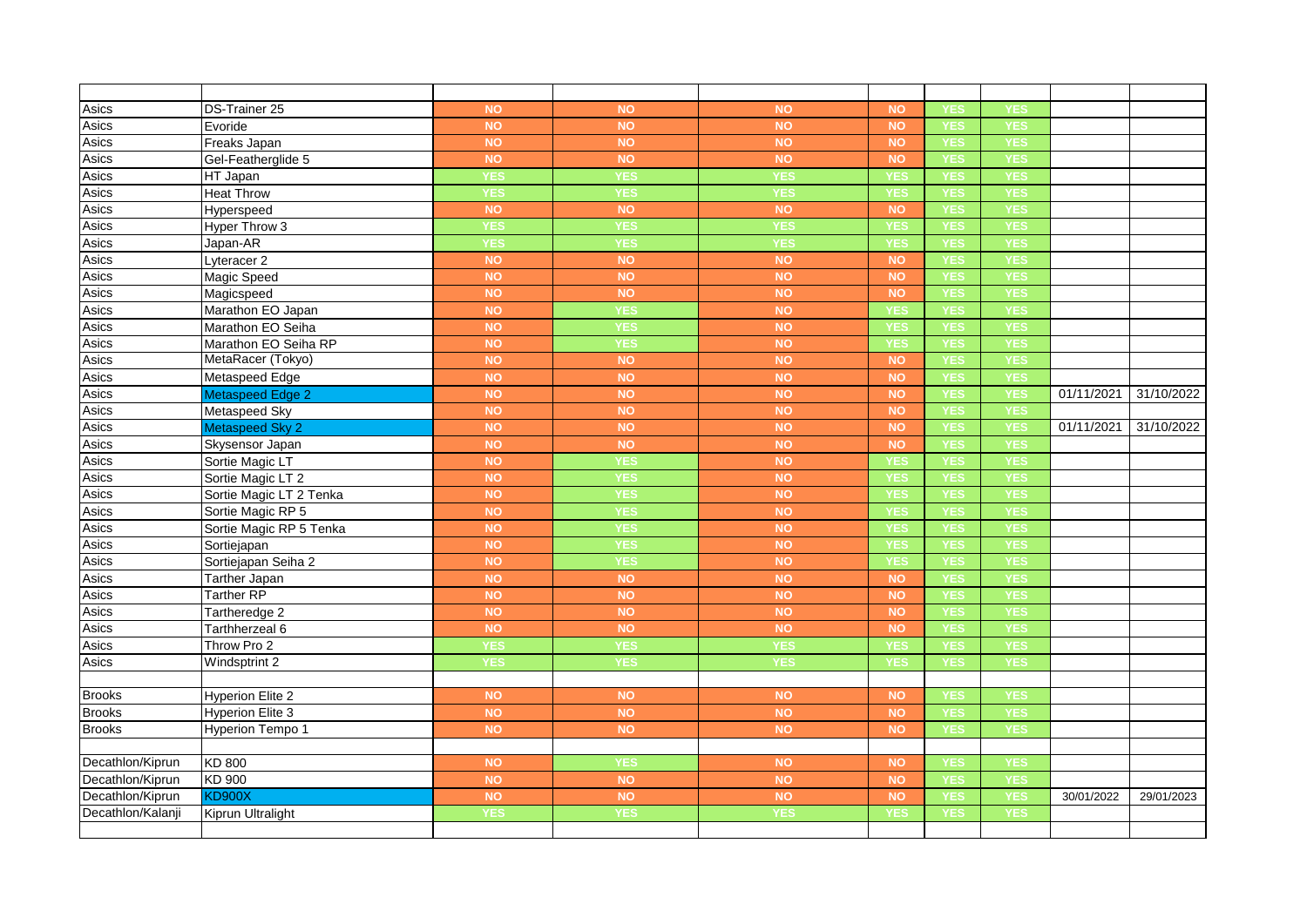| Asics             | DS-Trainer 25           | <b>NO</b>  | <b>NO</b>  | <b>NO</b>  | <b>NO</b>  | <b>YES</b> | <b>YES</b> |            |            |
|-------------------|-------------------------|------------|------------|------------|------------|------------|------------|------------|------------|
| Asics             | Evoride                 | <b>NO</b>  | <b>NO</b>  | <b>NO</b>  | <b>NO</b>  | <b>YES</b> | YES        |            |            |
| Asics             | Freaks Japan            | <b>NO</b>  | <b>NO</b>  | <b>NO</b>  | <b>NO</b>  | <b>YES</b> | <b>YES</b> |            |            |
| Asics             | Gel-Featherglide 5      | <b>NO</b>  | <b>NO</b>  | <b>NO</b>  | <b>NO</b>  | <b>YES</b> | <b>YES</b> |            |            |
| Asics             | HT Japan                | <b>YES</b> | <b>YES</b> | <b>YES</b> | YES        | <b>YES</b> | YES        |            |            |
| Asics             | <b>Heat Throw</b>       | <b>YES</b> | <b>YES</b> | <b>YES</b> | <b>YES</b> | <b>YES</b> | YES        |            |            |
| Asics             | Hyperspeed              | <b>NO</b>  | <b>NO</b>  | <b>NO</b>  | <b>NO</b>  | <b>YES</b> | <b>YES</b> |            |            |
| Asics             | Hyper Throw 3           | <b>YES</b> | <b>YES</b> | <b>YES</b> | YES        | <b>YES</b> | YES        |            |            |
| Asics             | Japan-AR                | <b>YES</b> | YES        | <b>YES</b> | YES        | <b>YES</b> | YES        |            |            |
| Asics             | Lyteracer <sub>2</sub>  | <b>NO</b>  | <b>NO</b>  | <b>NO</b>  | <b>NO</b>  | <b>YES</b> | <b>YES</b> |            |            |
| Asics             | Magic Speed             | <b>NO</b>  | <b>NO</b>  | <b>NO</b>  | <b>NO</b>  | <b>YES</b> | <b>YES</b> |            |            |
| Asics             | Magicspeed              | <b>NO</b>  | <b>NO</b>  | <b>NO</b>  | <b>NO</b>  | <b>YES</b> | YES        |            |            |
| Asics             | Marathon EO Japan       | <b>NO</b>  | <b>YES</b> | <b>NO</b>  | <b>YES</b> | <b>YES</b> | <b>YES</b> |            |            |
| Asics             | Marathon EO Seiha       | <b>NO</b>  | <b>YES</b> | <b>NO</b>  | <b>YES</b> | <b>YES</b> | <b>YES</b> |            |            |
| Asics             | Marathon EO Seiha RP    | <b>NO</b>  | <b>YES</b> | <b>NO</b>  | YES        | <b>YES</b> | YES        |            |            |
| Asics             | MetaRacer (Tokyo)       | <b>NO</b>  | <b>NO</b>  | <b>NO</b>  | <b>NO</b>  | <b>YES</b> | <b>YES</b> |            |            |
| Asics             | Metaspeed Edge          | <b>NO</b>  | <b>NO</b>  | <b>NO</b>  | <b>NO</b>  | <b>YES</b> | <b>YES</b> |            |            |
| Asics             | <b>Metaspeed Edge 2</b> | <b>NO</b>  | <b>NO</b>  | <b>NO</b>  | <b>NO</b>  | <b>YES</b> | YES        | 01/11/2021 | 31/10/2022 |
| Asics             | Metaspeed Sky           | <b>NO</b>  | <b>NO</b>  | <b>NO</b>  | <b>NO</b>  | <b>YES</b> | <b>YES</b> |            |            |
| Asics             | <b>Metaspeed Sky 2</b>  | <b>NO</b>  | <b>NO</b>  | <b>NO</b>  | <b>NO</b>  | <b>YES</b> | <b>YES</b> | 01/11/2021 | 31/10/2022 |
| Asics             | Skysensor Japan         | <b>NO</b>  | <b>NO</b>  | <b>NO</b>  | <b>NO</b>  | <b>YES</b> | <b>YES</b> |            |            |
| Asics             | Sortie Magic LT         | <b>NO</b>  | YES        | <b>NO</b>  | YES        | <b>YES</b> | YES        |            |            |
| Asics             | Sortie Magic LT 2       | <b>NO</b>  | <b>YES</b> | <b>NO</b>  | <b>YES</b> | <b>YES</b> | <b>YES</b> |            |            |
| Asics             | Sortie Magic LT 2 Tenka | <b>NO</b>  | <b>YES</b> | <b>NO</b>  | YES        | <b>YES</b> | <b>YES</b> |            |            |
| Asics             | Sortie Magic RP 5       | <b>NO</b>  | YES        | <b>NO</b>  | YES        | <b>YES</b> | <b>YES</b> |            |            |
| Asics             | Sortie Magic RP 5 Tenka | <b>NO</b>  | <b>YES</b> | <b>NO</b>  | YES        | <b>YES</b> | <b>YES</b> |            |            |
| Asics             | Sortiejapan             | <b>NO</b>  | <b>YES</b> | <b>NO</b>  | <b>YES</b> | <b>YES</b> | <b>YES</b> |            |            |
| Asics             | Sortiejapan Seiha 2     | <b>NO</b>  | YES        | <b>NO</b>  | YES        | <b>YES</b> | YES        |            |            |
| Asics             | <b>Tarther Japan</b>    | <b>NO</b>  | <b>NO</b>  | <b>NO</b>  | <b>NO</b>  | <b>YES</b> | YES        |            |            |
| Asics             | <b>Tarther RP</b>       | <b>NO</b>  | <b>NO</b>  | <b>NO</b>  | <b>NO</b>  | <b>YES</b> | <b>YES</b> |            |            |
| Asics             | Tartheredge 2           | <b>NO</b>  | <b>NO</b>  | <b>NO</b>  | <b>NO</b>  | <b>YES</b> | YES        |            |            |
| Asics             | Tarthherzeal 6          | <b>NO</b>  | <b>NO</b>  | <b>NO</b>  | <b>NO</b>  | <b>YES</b> | YES        |            |            |
| Asics             | Throw Pro 2             | <b>YES</b> | <b>YES</b> | <b>YES</b> | <b>YES</b> | <b>YES</b> | <b>YES</b> |            |            |
| Asics             | Windsptrint 2           | <b>YES</b> | <b>YES</b> | <b>YES</b> | YES        | <b>YES</b> | YES        |            |            |
|                   |                         |            |            |            |            |            |            |            |            |
| <b>Brooks</b>     | <b>Hyperion Elite 2</b> | <b>NO</b>  | <b>NO</b>  | <b>NO</b>  | <b>NO</b>  | <b>YES</b> | <b>YES</b> |            |            |
| <b>Brooks</b>     | <b>Hyperion Elite 3</b> | <b>NO</b>  | <b>NO</b>  | <b>NO</b>  | <b>NO</b>  | <b>YES</b> | YES        |            |            |
| <b>Brooks</b>     | Hyperion Tempo 1        | <b>NO</b>  | <b>NO</b>  | <b>NO</b>  | <b>NO</b>  | <b>YES</b> | YES        |            |            |
|                   |                         |            |            |            |            |            |            |            |            |
| Decathlon/Kiprun  | KD 800                  | <b>NO</b>  | <b>YES</b> | <b>NO</b>  | <b>NO</b>  | <b>YES</b> | <b>YES</b> |            |            |
| Decathlon/Kiprun  | KD 900                  | <b>NO</b>  | <b>NO</b>  | <b>NO</b>  | <b>NO</b>  | <b>YES</b> | YES        |            |            |
| Decathlon/Kiprun  | <b>KD900X</b>           | <b>NO</b>  | <b>NO</b>  | <b>NO</b>  | <b>NO</b>  | <b>YES</b> | <b>YES</b> | 30/01/2022 | 29/01/2023 |
| Decathlon/Kalanji | Kiprun Ultralight       | <b>YES</b> | <b>YES</b> | <b>YES</b> | <b>YES</b> | <b>YES</b> | <b>YES</b> |            |            |
|                   |                         |            |            |            |            |            |            |            |            |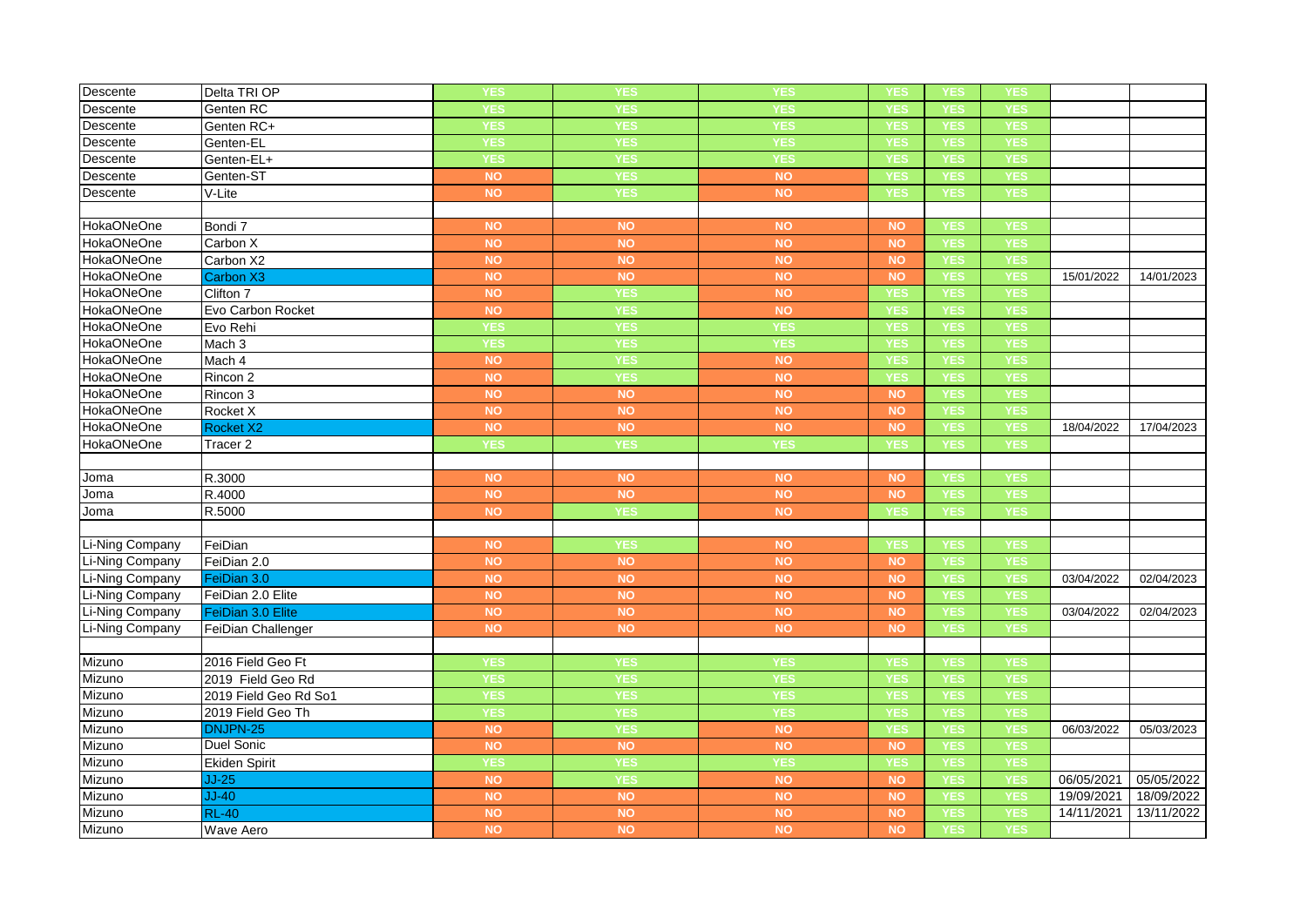| Descente          | Delta TRI OP          | YES        | YES        | YES        | YES        | <b>YES</b> | YES        |            |            |
|-------------------|-----------------------|------------|------------|------------|------------|------------|------------|------------|------------|
| Descente          | Genten RC             | <b>YES</b> | <b>YES</b> | <b>YES</b> | <b>YES</b> | <b>YES</b> | <b>YES</b> |            |            |
| Descente          | Genten RC+            | <b>YES</b> | <b>YES</b> | <b>YES</b> | YES        | <b>YES</b> | <b>YES</b> |            |            |
| Descente          | Genten-EL             | <b>YES</b> | <b>YES</b> | <b>YES</b> | YES        | <b>YES</b> | <b>YES</b> |            |            |
| Descente          | Genten-EL+            | <b>YES</b> | <b>YES</b> | <b>YES</b> | <b>YES</b> | <b>YES</b> | <b>YES</b> |            |            |
| Descente          | Genten-ST             | <b>NO</b>  | <b>YES</b> | <b>NO</b>  | YES        | <b>YES</b> | <b>YES</b> |            |            |
| Descente          | V-Lite                | <b>NO</b>  | YES        | <b>NO</b>  | YES        | <b>YES</b> | YES        |            |            |
|                   |                       |            |            |            |            |            |            |            |            |
| <b>HokaONeOne</b> | Bondi 7               | <b>NO</b>  | <b>NO</b>  | <b>NO</b>  | <b>NO</b>  | <b>YES</b> | <b>YES</b> |            |            |
| <b>HokaONeOne</b> | Carbon X              | <b>NO</b>  | <b>NO</b>  | <b>NO</b>  | NO         | <b>YES</b> | <b>YES</b> |            |            |
| <b>HokaONeOne</b> | Carbon X2             | <b>NO</b>  | NO         | <b>NO</b>  | <b>NO</b>  | <b>YES</b> | <b>YES</b> |            |            |
| <b>HokaONeOne</b> | Carbon X3             | <b>NO</b>  | <b>NO</b>  | <b>NO</b>  | <b>NO</b>  | <b>YES</b> | <b>YES</b> | 15/01/2022 | 14/01/2023 |
| <b>HokaONeOne</b> | Clifton 7             | <b>NO</b>  | <b>YES</b> | <b>NO</b>  | YES        | <b>YES</b> | <b>YES</b> |            |            |
| <b>HokaONeOne</b> | Evo Carbon Rocket     | <b>NO</b>  | YES        | <b>NO</b>  | <b>YES</b> | <b>YES</b> | <b>YES</b> |            |            |
| <b>HokaONeOne</b> | Evo Rehi              | <b>YES</b> | <b>YES</b> | <b>YES</b> | <b>YES</b> | <b>YES</b> | <b>YES</b> |            |            |
| <b>HokaONeOne</b> | Mach 3                | <b>YES</b> | YES        | <b>YES</b> | YES        | <b>YES</b> | YES        |            |            |
| <b>HokaONeOne</b> | Mach 4                | <b>NO</b>  | <b>YES</b> | <b>NO</b>  | <b>YES</b> | <b>YES</b> | <b>YES</b> |            |            |
| <b>HokaONeOne</b> | Rincon 2              | <b>NO</b>  | <b>YES</b> | <b>NO</b>  | <b>YES</b> | <b>YES</b> | <b>YES</b> |            |            |
| <b>HokaONeOne</b> | Rincon 3              | <b>NO</b>  | NO         | <b>NO</b>  | NO         | <b>YES</b> | YES        |            |            |
| HokaONeOne        | Rocket X              | <b>NO</b>  | <b>NO</b>  | <b>NO</b>  | <b>NO</b>  | <b>YES</b> | <b>YES</b> |            |            |
| <b>HokaONeOne</b> | Rocket X2             | <b>NO</b>  | <b>NO</b>  | <b>NO</b>  | <b>NO</b>  | <b>YES</b> | <b>YES</b> | 18/04/2022 | 17/04/2023 |
| <b>HokaONeOne</b> | Tracer 2              | <b>YES</b> | <b>YES</b> | <b>YES</b> | YES        | <b>YES</b> | <b>YES</b> |            |            |
|                   |                       |            |            |            |            |            |            |            |            |
| Joma              | R.3000                | <b>NO</b>  | <b>NO</b>  | <b>NO</b>  | <b>NO</b>  | <b>YES</b> | <b>YES</b> |            |            |
| Joma              | R.4000                | <b>NO</b>  | NO         | <b>NO</b>  | <b>NO</b>  | <b>YES</b> | <b>YES</b> |            |            |
| Joma              | R.5000                | <b>NO</b>  | <b>YES</b> | <b>NO</b>  | YES        | <b>YES</b> | <b>YES</b> |            |            |
|                   |                       |            |            |            |            |            |            |            |            |
| Li-Ning Company   | FeiDian               | <b>NO</b>  | <b>YES</b> | <b>NO</b>  | <b>YES</b> | <b>YES</b> | <b>YES</b> |            |            |
| Li-Ning Company   | FeiDian 2.0           | <b>NO</b>  | <b>NO</b>  | <b>NO</b>  | NO         | <b>YES</b> | <b>YES</b> |            |            |
| Li-Ning Company   | FeiDian 3.0           | <b>NO</b>  | <b>NO</b>  | <b>NO</b>  | <b>NO</b>  | <b>YES</b> | <b>YES</b> | 03/04/2022 | 02/04/2023 |
| Li-Ning Company   | FeiDian 2.0 Elite     | <b>NO</b>  | <b>NO</b>  | <b>NO</b>  | <b>NO</b>  | <b>YES</b> | <b>YES</b> |            |            |
| Li-Ning Company   | FeiDian 3.0 Elite     | <b>NO</b>  | NO         | <b>NO</b>  | NO         | <b>YES</b> | <b>YES</b> | 03/04/2022 | 02/04/2023 |
| Li-Ning Company   | FeiDian Challenger    | <b>NO</b>  | <b>NO</b>  | <b>NO</b>  | <b>NO</b>  | <b>YES</b> | <b>YES</b> |            |            |
|                   |                       |            |            |            |            |            |            |            |            |
| Mizuno            | 2016 Field Geo Ft     | <b>YES</b> | <b>YES</b> | <b>YES</b> | YES        | <b>YES</b> | <b>YES</b> |            |            |
| Mizuno            | 2019 Field Geo Rd     | <b>YES</b> | <b>YES</b> | <b>YES</b> | <b>YES</b> | <b>YES</b> | <b>YES</b> |            |            |
| Mizuno            | 2019 Field Geo Rd So1 | <b>YES</b> | <b>YES</b> | <b>YES</b> | <b>YES</b> | <b>YES</b> | <b>YES</b> |            |            |
| Mizuno            | 2019 Field Geo Th     | <b>YES</b> | <b>YES</b> | <b>YES</b> | YES        | <b>YES</b> | <b>YES</b> |            |            |
| Mizuno            | DNJPN-25              | <b>NO</b>  | <b>YES</b> | NO         | <b>YES</b> | <b>YES</b> | YES        | 06/03/2022 | 05/03/2023 |
| Mizuno            | <b>Duel Sonic</b>     | <b>NO</b>  | <b>NO</b>  | <b>NO</b>  | <b>NO</b>  | <b>YES</b> | <b>YES</b> |            |            |
| Mizuno            | Ekiden Spirit         | <b>YES</b> | <b>YES</b> | <b>YES</b> | <b>YES</b> | <b>YES</b> | <b>YES</b> |            |            |
| Mizuno            | $JJ-25$               | <b>NO</b>  | <b>YES</b> | NO         | <b>NO</b>  | <b>YES</b> | YES        | 06/05/2021 | 05/05/2022 |
| Mizuno            | $JJ-40$               | <b>NO</b>  | <b>NO</b>  | <b>NO</b>  | <b>NO</b>  | <b>YES</b> | <b>YES</b> | 19/09/2021 | 18/09/2022 |
| Mizuno            | <b>RL-40</b>          | <b>NO</b>  | <b>NO</b>  | <b>NO</b>  | <b>NO</b>  | <b>YES</b> | <b>YES</b> | 14/11/2021 | 13/11/2022 |
| Mizuno            | Wave Aero             | <b>NO</b>  | NO         | <b>NO</b>  | NO         | <b>YES</b> | YES        |            |            |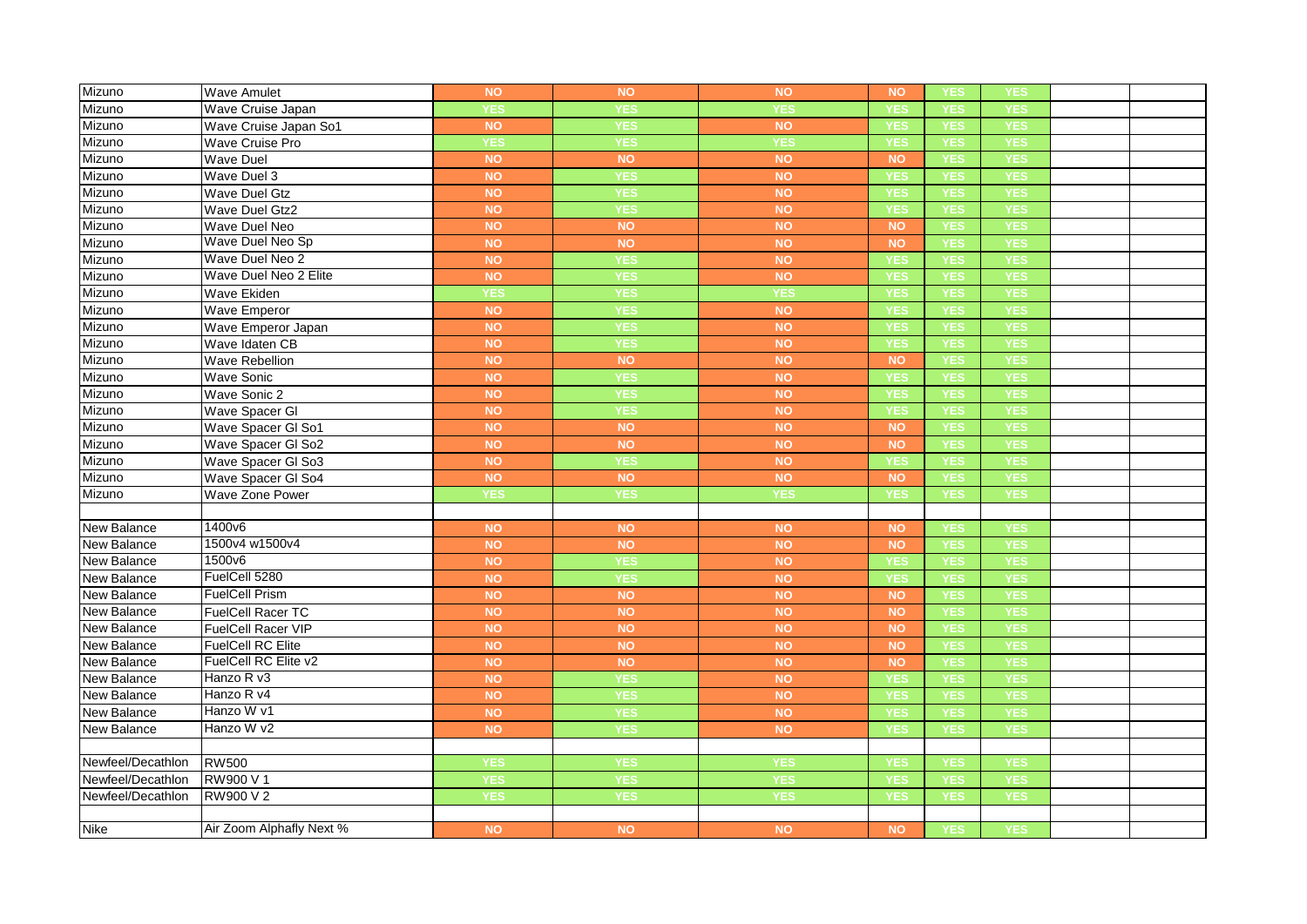| Mizuno             | <b>Wave Amulet</b>       | <b>NO</b>  | <b>NO</b>     | <b>NO</b>  | <b>NO</b>  | <b>YES</b> | YES        |  |
|--------------------|--------------------------|------------|---------------|------------|------------|------------|------------|--|
| Mizuno             | Wave Cruise Japan        | <b>YES</b> | YES           | <b>YES</b> | <b>YES</b> | <b>YES</b> | <b>YES</b> |  |
| Mizuno             | Wave Cruise Japan So1    | <b>NO</b>  | <b>YES</b>    | <b>NO</b>  | <b>YES</b> | <b>YES</b> | <b>YES</b> |  |
| Mizuno             | Wave Cruise Pro          | <b>YES</b> | <b>YES</b>    | <b>YES</b> | <b>YES</b> | <b>YES</b> | <b>YES</b> |  |
| Mizuno             | <b>Wave Duel</b>         | <b>NO</b>  | NO            | <b>NO</b>  | <b>NO</b>  | <b>YES</b> | <b>YES</b> |  |
| Mizuno             | Wave Duel 3              | <b>NO</b>  | <b>YES</b>    | <b>NO</b>  | <b>YES</b> | <b>YES</b> | <b>YES</b> |  |
| Mizuno             | <b>Wave Duel Gtz</b>     | <b>NO</b>  | YES           | <b>NO</b>  | YES        | <b>YES</b> | <b>YES</b> |  |
| Mizuno             | Wave Duel Gtz2           | <b>NO</b>  | <b>YES</b>    | <b>NO</b>  | <b>YES</b> | <b>YES</b> | <b>YES</b> |  |
| Mizuno             | Wave Duel Neo            | <b>NO</b>  | <b>NO</b>     | <b>NO</b>  | <b>NO</b>  | <b>YES</b> | <b>YES</b> |  |
| Mizuno             | Wave Duel Neo Sp         | <b>NO</b>  | $\mathsf{NO}$ | <b>NO</b>  | <b>NO</b>  | <b>YES</b> | <b>YES</b> |  |
| Mizuno             | Wave Duel Neo 2          | <b>NO</b>  | <b>YES</b>    | <b>NO</b>  | <b>YES</b> | <b>YES</b> | <b>YES</b> |  |
| Mizuno             | Wave Duel Neo 2 Elite    | <b>NO</b>  | <b>YES</b>    | <b>NO</b>  | <b>YES</b> | <b>YES</b> | <b>YES</b> |  |
| Mizuno             | Wave Ekiden              | <b>YES</b> | <b>YES</b>    | <b>YES</b> | YES        | <b>YES</b> | <b>YES</b> |  |
| Mizuno             | <b>Wave Emperor</b>      | <b>NO</b>  | YES           | <b>NO</b>  | <b>YES</b> | <b>YES</b> | <b>YES</b> |  |
| Mizuno             | Wave Emperor Japan       | <b>NO</b>  | <b>YES</b>    | <b>NO</b>  | <b>YES</b> | <b>YES</b> | <b>YES</b> |  |
| Mizuno             | Wave Idaten CB           | <b>NO</b>  | <b>YES</b>    | <b>NO</b>  | YES        | <b>YES</b> | <b>YES</b> |  |
| Mizuno             | <b>Wave Rebellion</b>    | <b>NO</b>  | <b>NO</b>     | <b>NO</b>  | <b>NO</b>  | <b>YES</b> | <b>YES</b> |  |
| Mizuno             | <b>Wave Sonic</b>        | <b>NO</b>  | <b>YES</b>    | <b>NO</b>  | <b>YES</b> | <b>YES</b> | <b>YES</b> |  |
| Mizuno             | Wave Sonic 2             | <b>NO</b>  | <b>YES</b>    | <b>NO</b>  | <b>YES</b> | <b>YES</b> | <b>YES</b> |  |
| Mizuno             | Wave Spacer GI           | <b>NO</b>  | <b>YES</b>    | <b>NO</b>  | <b>YES</b> | <b>YES</b> | <b>YES</b> |  |
| Mizuno             | Wave Spacer GI So1       | <b>NO</b>  | NO            | <b>NO</b>  | <b>NO</b>  | <b>YES</b> | <b>YES</b> |  |
| Mizuno             | Wave Spacer GI So2       | <b>NO</b>  | $\mathsf{NO}$ | <b>NO</b>  | <b>NO</b>  | <b>YES</b> | <b>YES</b> |  |
| Mizuno             | Wave Spacer GI So3       | <b>NO</b>  | YES           | <b>NO</b>  | YES        | <b>YES</b> | YES        |  |
| Mizuno             | Wave Spacer GI So4       | <b>NO</b>  | NO            | <b>NO</b>  | <b>NO</b>  | <b>YES</b> | <b>YES</b> |  |
| Mizuno             | Wave Zone Power          | <b>YES</b> | <b>YES</b>    | <b>YES</b> | <b>YES</b> | <b>YES</b> | <b>YES</b> |  |
|                    |                          |            |               |            |            |            |            |  |
| <b>New Balance</b> | 1400v6                   | <b>NO</b>  | <b>NO</b>     | <b>NO</b>  | <b>NO</b>  | <b>YES</b> | <b>YES</b> |  |
| New Balance        | 1500v4 w1500v4           | <b>NO</b>  | <b>NO</b>     | <b>NO</b>  | <b>NO</b>  | <b>YES</b> | <b>YES</b> |  |
| New Balance        | 1500v6                   | <b>NO</b>  | <b>YES</b>    | <b>NO</b>  | <b>YES</b> | <b>YES</b> | <b>YES</b> |  |
| New Balance        | FuelCell 5280            | <b>NO</b>  | <b>YES</b>    | <b>NO</b>  | <b>YES</b> | <b>YES</b> | <b>YES</b> |  |
| New Balance        | <b>FuelCell Prism</b>    | <b>NO</b>  | <b>NO</b>     | <b>NO</b>  | <b>NO</b>  | <b>YES</b> | <b>YES</b> |  |
| New Balance        | <b>FuelCell Racer TC</b> | <b>NO</b>  | <b>NO</b>     | <b>NO</b>  | <b>NO</b>  | <b>YES</b> | <b>YES</b> |  |
| New Balance        | FuelCell Racer VIP       | <b>NO</b>  | NO            | NO         | NO         | <b>YES</b> | <b>YES</b> |  |
| New Balance        | <b>FuelCell RC Elite</b> | <b>NO</b>  | <b>NO</b>     | <b>NO</b>  | <b>NO</b>  | <b>YES</b> | <b>YES</b> |  |
| New Balance        | FuelCell RC Elite v2     | <b>NO</b>  | $\mathsf{NO}$ | <b>NO</b>  | <b>NO</b>  | <b>YES</b> | <b>YES</b> |  |
| New Balance        | Hanzo R v3               | <b>NO</b>  | YES           | NO         | YES        | <b>YES</b> | <b>YES</b> |  |
| New Balance        | Hanzo R v4               | <b>NO</b>  | <b>YES</b>    | <b>NO</b>  | <b>YES</b> | <b>YES</b> | <b>YES</b> |  |
| New Balance        | Hanzo W v1               | <b>NO</b>  | <b>YES</b>    | <b>NO</b>  | <b>YES</b> | <b>YES</b> | <b>YES</b> |  |
| <b>New Balance</b> | Hanzo W v2               | NO         | YES           | <b>NO</b>  | YES        | <b>YES</b> | <b>YES</b> |  |
|                    |                          |            |               |            |            |            |            |  |
| Newfeel/Decathlon  | <b>RW500</b>             | <b>YES</b> | <b>YES</b>    | <b>YES</b> | <b>YES</b> | <b>YES</b> | <b>YES</b> |  |
| Newfeel/Decathlon  | RW900 V 1                | <b>YES</b> | <b>YES</b>    | <b>YES</b> | YES        | YES        | <b>YES</b> |  |
| Newfeel/Decathlon  | RW900 V 2                | <b>YES</b> | <b>YES</b>    | <b>YES</b> | <b>YES</b> | <b>YES</b> | <b>YES</b> |  |
|                    |                          |            |               |            |            |            |            |  |
| <b>Nike</b>        | Air Zoom Alphafly Next % | <b>NO</b>  | <b>NO</b>     | <b>NO</b>  | <b>NO</b>  | YES        | YES        |  |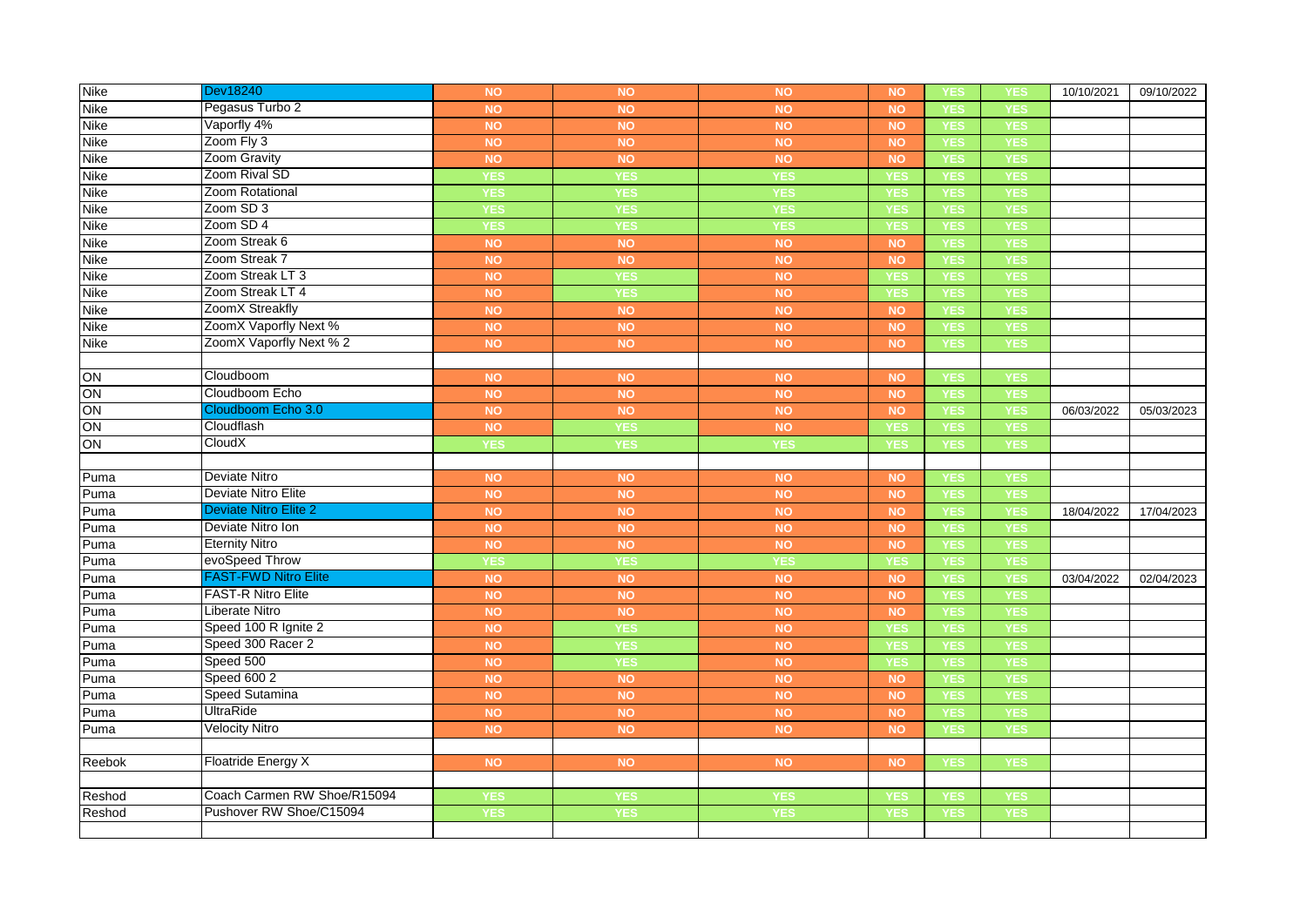| <b>Nike</b>     | Dev18240                     | <b>NO</b>  | <b>NO</b>  | <b>NO</b>  | <b>NO</b>  | <b>YES</b> | YES        | 10/10/2021 | 09/10/2022 |
|-----------------|------------------------------|------------|------------|------------|------------|------------|------------|------------|------------|
| <b>Nike</b>     | Pegasus Turbo 2              | <b>NO</b>  | <b>NO</b>  | <b>NO</b>  | <b>NO</b>  | <b>YES</b> | <b>YES</b> |            |            |
| Nike            | Vaporfly 4%                  | <b>NO</b>  | <b>NO</b>  | <b>NO</b>  | <b>NO</b>  | <b>YES</b> | <b>YES</b> |            |            |
| <b>Nike</b>     | Zoom Fly 3                   | <b>NO</b>  | <b>NO</b>  | <b>NO</b>  | <b>NO</b>  | <b>YES</b> | <b>YES</b> |            |            |
| Nike            | Zoom Gravity                 | <b>NO</b>  | <b>NO</b>  | NO         | NO         | <b>YES</b> | <b>YES</b> |            |            |
| <b>Nike</b>     | Zoom Rival SD                | <b>YES</b> | <b>YES</b> | <b>YES</b> | <b>YES</b> | <b>YES</b> | <b>YES</b> |            |            |
| <b>Nike</b>     | Zoom Rotational              | <b>YES</b> | <b>YES</b> | <b>YES</b> | YES        | <b>YES</b> | <b>YES</b> |            |            |
| Nike            | Zoom SD 3                    | <b>YES</b> | YES        | <b>YES</b> | <b>YES</b> | <b>YES</b> | <b>YES</b> |            |            |
| Nike            | Zoom SD 4                    | <b>YES</b> | <b>YES</b> | <b>YES</b> | <b>YES</b> | <b>YES</b> | <b>YES</b> |            |            |
| <b>Nike</b>     | Zoom Streak 6                | <b>NO</b>  | <b>NO</b>  | <b>NO</b>  | <b>NO</b>  | <b>YES</b> | <b>YES</b> |            |            |
| Nike            | Zoom Streak 7                | <b>NO</b>  | <b>NO</b>  | <b>NO</b>  | <b>NO</b>  | <b>YES</b> | <b>YES</b> |            |            |
| Nike            | Zoom Streak LT 3             | <b>NO</b>  | <b>YES</b> | NO         | <b>YES</b> | <b>YES</b> | <b>YES</b> |            |            |
| <b>Nike</b>     | Zoom Streak LT 4             | <b>NO</b>  | <b>YES</b> | <b>NO</b>  | <b>YES</b> | <b>YES</b> | <b>YES</b> |            |            |
| Nike            | ZoomX Streakfly              | <b>NO</b>  | <b>NO</b>  | <b>NO</b>  | NO         | <b>YES</b> | <b>YES</b> |            |            |
| Nike            | ZoomX Vaporfly Next %        | <b>NO</b>  | <b>NO</b>  | <b>NO</b>  | <b>NO</b>  | <b>YES</b> | <b>YES</b> |            |            |
| <b>Nike</b>     | ZoomX Vaporfly Next % 2      | <b>NO</b>  | <b>NO</b>  | <b>NO</b>  | <b>NO</b>  | <b>YES</b> | <b>YES</b> |            |            |
|                 |                              |            |            |            |            |            |            |            |            |
| ON              | Cloudboom                    | <b>NO</b>  | <b>NO</b>  | <b>NO</b>  | <b>NO</b>  | <b>YES</b> | <b>YES</b> |            |            |
| $\overline{ON}$ | Cloudboom Echo               | <b>NO</b>  | <b>NO</b>  | <b>NO</b>  | <b>NO</b>  | <b>YES</b> | <b>YES</b> |            |            |
| $\overline{ON}$ | Cloudboom Echo 3.0           | <b>NO</b>  | <b>NO</b>  | <b>NO</b>  | NO         | <b>YES</b> | <b>YES</b> | 06/03/2022 | 05/03/2023 |
| ON              | Cloudflash                   | <b>NO</b>  | <b>YES</b> | <b>NO</b>  | <b>YES</b> | <b>YES</b> | <b>YES</b> |            |            |
| ON              | CloudX                       | <b>YES</b> | <b>YES</b> | <b>YES</b> | <b>YES</b> | <b>YES</b> | <b>YES</b> |            |            |
|                 |                              |            |            |            |            |            |            |            |            |
| Puma            | Deviate Nitro                | <b>NO</b>  | <b>NO</b>  | <b>NO</b>  | <b>NO</b>  | <b>YES</b> | <b>YES</b> |            |            |
| Puma            | Deviate Nitro Elite          | <b>NO</b>  | <b>NO</b>  | <b>NO</b>  | <b>NO</b>  | <b>YES</b> | <b>YES</b> |            |            |
| Puma            | <b>Deviate Nitro Elite 2</b> | <b>NO</b>  | <b>NO</b>  | <b>NO</b>  | <b>NO</b>  | <b>YES</b> | <b>YES</b> | 18/04/2022 | 17/04/2023 |
| Puma            | Deviate Nitro Ion            | <b>NO</b>  | <b>NO</b>  | NO         | NO         | <b>YES</b> | <b>YES</b> |            |            |
| Puma            | <b>Eternity Nitro</b>        | <b>NO</b>  | <b>NO</b>  | NO         | <b>NO</b>  | <b>YES</b> | <b>YES</b> |            |            |
| Puma            | evoSpeed Throw               | <b>YES</b> | <b>YES</b> | <b>YES</b> | <b>YES</b> | <b>YES</b> | <b>YES</b> |            |            |
| Puma            | <b>FAST-FWD Nitro Elite</b>  | <b>NO</b>  | <b>NO</b>  | <b>NO</b>  | <b>NO</b>  | <b>YES</b> | <b>YES</b> | 03/04/2022 | 02/04/2023 |
| Puma            | <b>FAST-R Nitro Elite</b>    | <b>NO</b>  | <b>NO</b>  | <b>NO</b>  | <b>NO</b>  | <b>YES</b> | <b>YES</b> |            |            |
| Puma            | Liberate Nitro               | <b>NO</b>  | <b>NO</b>  | <b>NO</b>  | NO         | <b>YES</b> | <b>YES</b> |            |            |
| Puma            | Speed 100 R Ignite 2         | <b>NO</b>  | YES        | <b>NO</b>  | YES        | <b>YES</b> | <b>YES</b> |            |            |
| Puma            | Speed 300 Racer 2            | <b>NO</b>  | <b>YES</b> | <b>NO</b>  | <b>YES</b> | <b>YES</b> | <b>YES</b> |            |            |
| Puma            | Speed 500                    | <b>NO</b>  | <b>YES</b> | <b>NO</b>  | <b>YES</b> | <b>YES</b> | <b>YES</b> |            |            |
| Puma            | Speed 600 2                  | <b>NO</b>  | <b>NO</b>  | <b>NO</b>  | <b>NO</b>  | <b>YES</b> | <b>YES</b> |            |            |
| Puma            | <b>Speed Sutamina</b>        | <b>NO</b>  | <b>NO</b>  | <b>NO</b>  | NO         | <b>YES</b> | <b>YES</b> |            |            |
| Puma            | UltraRide                    | <b>NO</b>  | <b>NO</b>  | <b>NO</b>  | <b>NO</b>  | <b>YES</b> | <b>YES</b> |            |            |
| Puma            | <b>Velocity Nitro</b>        | <b>NO</b>  | <b>NO</b>  | <b>NO</b>  | <b>NO</b>  | <b>YES</b> | <b>YES</b> |            |            |
|                 |                              |            |            |            |            |            |            |            |            |
| Reebok          | <b>Floatride Energy X</b>    | <b>NO</b>  | <b>NO</b>  | <b>NO</b>  | <b>NO</b>  | <b>YES</b> | <b>YES</b> |            |            |
|                 |                              |            |            |            |            |            |            |            |            |
| Reshod          | Coach Carmen RW Shoe/R15094  | <b>YES</b> | <b>YES</b> | <b>YES</b> | <b>YES</b> | <b>YES</b> | <b>YES</b> |            |            |
| Reshod          | Pushover RW Shoe/C15094      | <b>YES</b> | <b>YES</b> | <b>YES</b> | <b>YES</b> | <b>YES</b> | <b>YES</b> |            |            |
|                 |                              |            |            |            |            |            |            |            |            |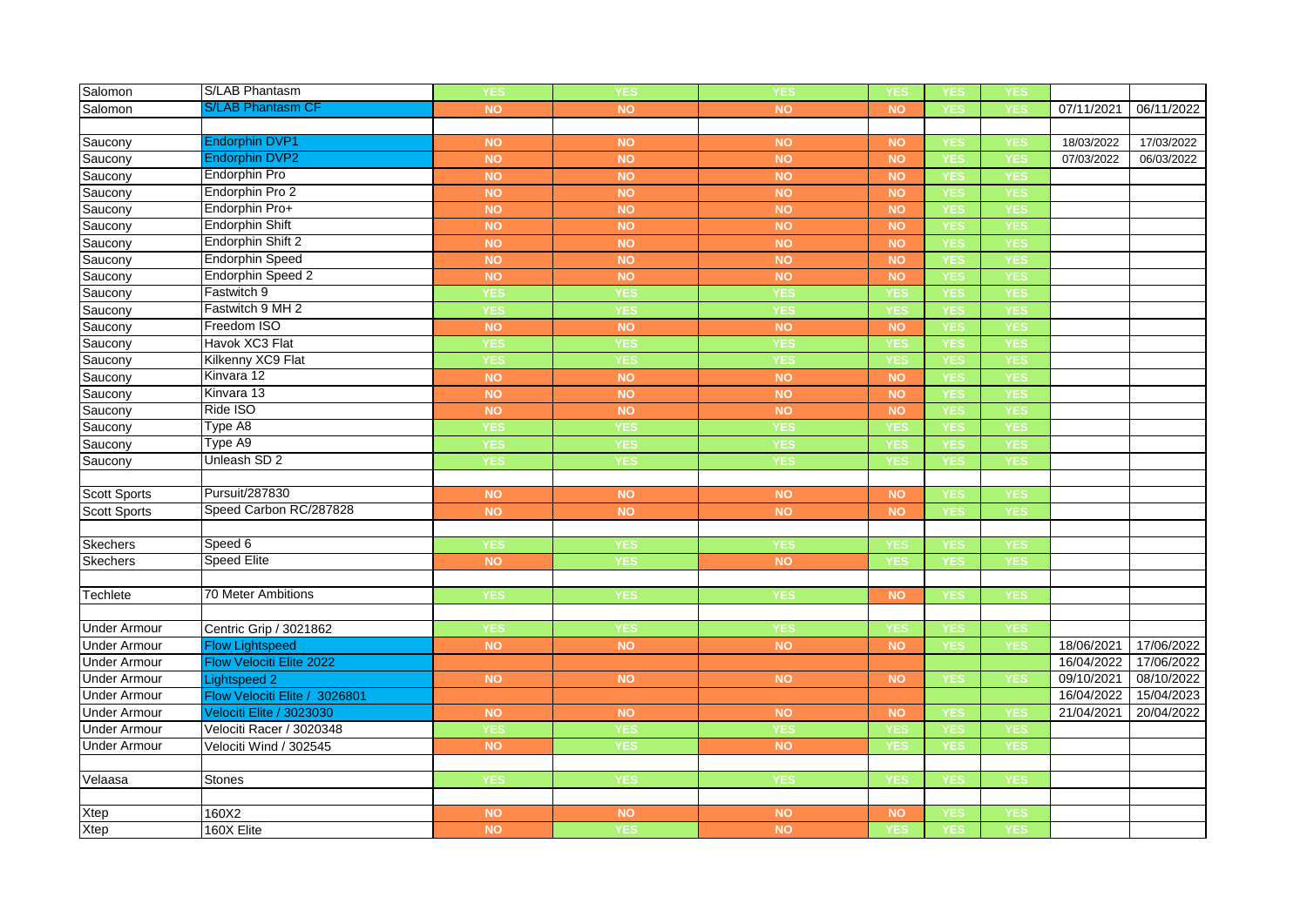| Salomon             | <b>S/LAB Phantasm</b>         | <b>YES</b> | <b>YES</b> | <b>YES</b> | YES        | <b>YES</b> | YES        |            |            |
|---------------------|-------------------------------|------------|------------|------------|------------|------------|------------|------------|------------|
| Salomon             | <b>S/LAB Phantasm CF</b>      | <b>NO</b>  | <b>NO</b>  | <b>NO</b>  | <b>NO</b>  | <b>YES</b> | <b>YES</b> | 07/11/2021 | 06/11/2022 |
|                     |                               |            |            |            |            |            |            |            |            |
| Saucony             | <b>Endorphin DVP1</b>         | <b>NO</b>  | <b>NO</b>  | <b>NO</b>  | <b>NO</b>  | <b>YES</b> | <b>YES</b> | 18/03/2022 | 17/03/2022 |
| Saucony             | <b>Endorphin DVP2</b>         | <b>NO</b>  | <b>NO</b>  | <b>NO</b>  | <b>NO</b>  | <b>YES</b> | <b>YES</b> | 07/03/2022 | 06/03/2022 |
| Saucony             | <b>Endorphin Pro</b>          | <b>NO</b>  | <b>NO</b>  | <b>NO</b>  | <b>NO</b>  | <b>YES</b> | <b>YES</b> |            |            |
| Saucony             | Endorphin Pro 2               | <b>NO</b>  | <b>NO</b>  | NO         | <b>NO</b>  | <b>YES</b> | <b>YES</b> |            |            |
| Saucony             | Endorphin Pro+                | <b>NO</b>  | <b>NO</b>  | <b>NO</b>  | <b>NO</b>  | <b>YES</b> | <b>YES</b> |            |            |
| Saucony             | <b>Endorphin Shift</b>        | <b>NO</b>  | <b>NO</b>  | <b>NO</b>  | <b>NO</b>  | <b>YES</b> | <b>YES</b> |            |            |
| Saucony             | Endorphin Shift 2             | <b>NO</b>  | <b>NO</b>  | NO         | <b>NO</b>  | <b>YES</b> | <b>YES</b> |            |            |
| Saucony             | <b>Endorphin Speed</b>        | <b>NO</b>  | NO         | NO         | NO         | <b>YES</b> | <b>YES</b> |            |            |
| Saucony             | Endorphin Speed 2             | <b>NO</b>  | <b>NO</b>  | NO         | NO         | <b>YES</b> | <b>YES</b> |            |            |
| Saucony             | Fastwitch 9                   | <b>YES</b> | <b>YES</b> | <b>YES</b> | <b>YES</b> | <b>YES</b> | <b>YES</b> |            |            |
| Saucony             | Fastwitch 9 MH 2              | <b>YES</b> | <b>YES</b> | <b>YES</b> | <b>YES</b> | <b>YES</b> | <b>YES</b> |            |            |
| Saucony             | Freedom ISO                   | <b>NO</b>  | <b>NO</b>  | <b>NO</b>  | <b>NO</b>  | <b>YES</b> | <b>YES</b> |            |            |
| Saucony             | Havok XC3 Flat                | <b>YES</b> | <b>YES</b> | <b>YES</b> | <b>YES</b> | <b>YES</b> | <b>YES</b> |            |            |
| Saucony             | Kilkenny XC9 Flat             | <b>YES</b> | <b>YES</b> | <b>YES</b> | <b>YES</b> | <b>YES</b> | <b>YES</b> |            |            |
| Saucony             | Kinvara 12                    | <b>NO</b>  | <b>NO</b>  | NO         | <b>NO</b>  | <b>YES</b> | <b>YES</b> |            |            |
| Saucony             | Kinvara 13                    | <b>NO</b>  | <b>NO</b>  | <b>NO</b>  | NO         | <b>YES</b> | <b>YES</b> |            |            |
| Saucony             | Ride ISO                      | <b>NO</b>  | <b>NO</b>  | NO         | NO         | <b>YES</b> | <b>YES</b> |            |            |
| Saucony             | Type A8                       | <b>YES</b> | <b>YES</b> | <b>YES</b> | <b>YES</b> | <b>YES</b> | <b>YES</b> |            |            |
| Saucony             | Type A9                       | <b>YES</b> | <b>YES</b> | <b>YES</b> | <b>YES</b> | <b>YES</b> | <b>YES</b> |            |            |
| Saucony             | Unleash SD 2                  | <b>YES</b> | <b>YES</b> | <b>YES</b> | <b>YES</b> | <b>YES</b> | <b>YES</b> |            |            |
|                     |                               |            |            |            |            |            |            |            |            |
| <b>Scott Sports</b> | Pursuit/287830                | <b>NO</b>  | <b>NO</b>  | <b>NO</b>  | <b>NO</b>  | <b>YES</b> | <b>YES</b> |            |            |
| <b>Scott Sports</b> | Speed Carbon RC/287828        | <b>NO</b>  | NO         | NO         | <b>NO</b>  | <b>YES</b> | <b>YES</b> |            |            |
|                     |                               |            |            |            |            |            |            |            |            |
| <b>Skechers</b>     | Speed 6                       | <b>YES</b> | <b>YES</b> | <b>YES</b> | <b>YES</b> | <b>YES</b> | <b>YES</b> |            |            |
| <b>Skechers</b>     | <b>Speed Elite</b>            | <b>NO</b>  | <b>YES</b> | NO         | <b>YES</b> | <b>YES</b> | <b>YES</b> |            |            |
|                     |                               |            |            |            |            |            |            |            |            |
| Techlete            | <b>70 Meter Ambitions</b>     | <b>YES</b> | <b>YES</b> | <b>YES</b> | <b>NO</b>  | <b>YES</b> | <b>YES</b> |            |            |
|                     |                               |            |            |            |            |            |            |            |            |
| <b>Under Armour</b> | Centric Grip / 3021862        | <b>YES</b> | <b>YES</b> | <b>YES</b> | <b>YES</b> | <b>YES</b> | <b>YES</b> |            |            |
| <b>Under Armour</b> | <b>Flow Lightspeed</b>        | <b>NO</b>  | <b>NO</b>  | <b>NO</b>  | <b>NO</b>  | <b>YES</b> | <b>YES</b> | 18/06/2021 | 17/06/2022 |
| <b>Under Armour</b> | Flow Velociti Elite 2022      |            |            |            |            |            |            | 16/04/2022 | 17/06/2022 |
| <b>Under Armour</b> | <b>Lightspeed 2</b>           | <b>NO</b>  | <b>NO</b>  | <b>NO</b>  | <b>NO</b>  | <b>YES</b> | <b>YES</b> | 09/10/2021 | 08/10/2022 |
| <b>Under Armour</b> | Flow Velociti Elite / 3026801 |            |            |            |            |            |            | 16/04/2022 | 15/04/2023 |
| <b>Under Armour</b> | Velociti Elite / 3023030      | <b>NO</b>  | <b>NO</b>  | <b>NO</b>  | <b>NO</b>  | <b>YES</b> | <b>YES</b> | 21/04/2021 | 20/04/2022 |
| <b>Under Armour</b> | Velociti Racer / 3020348      | <b>YES</b> | <b>YES</b> | <b>YES</b> | <b>YES</b> | <b>YES</b> | <b>YES</b> |            |            |
| <b>Under Armour</b> | Velociti Wind / 302545        | <b>NO</b>  | <b>YES</b> | <b>NO</b>  | <b>YES</b> | <b>YES</b> | <b>YES</b> |            |            |
|                     |                               |            |            |            |            |            |            |            |            |
| Velaasa             | Stones                        | <b>YES</b> | <b>YES</b> | <b>YES</b> | <b>YES</b> | <b>YES</b> | <b>YES</b> |            |            |
|                     |                               |            |            |            |            |            |            |            |            |
| Xtep                | 160X2                         | <b>NO</b>  | <b>NO</b>  | <b>NO</b>  | NO         | <b>YES</b> | <b>YES</b> |            |            |
| Xtep                | 160X Elite                    | <b>NO</b>  | <b>YES</b> | <b>NO</b>  | <b>YES</b> | <b>YES</b> | <b>YES</b> |            |            |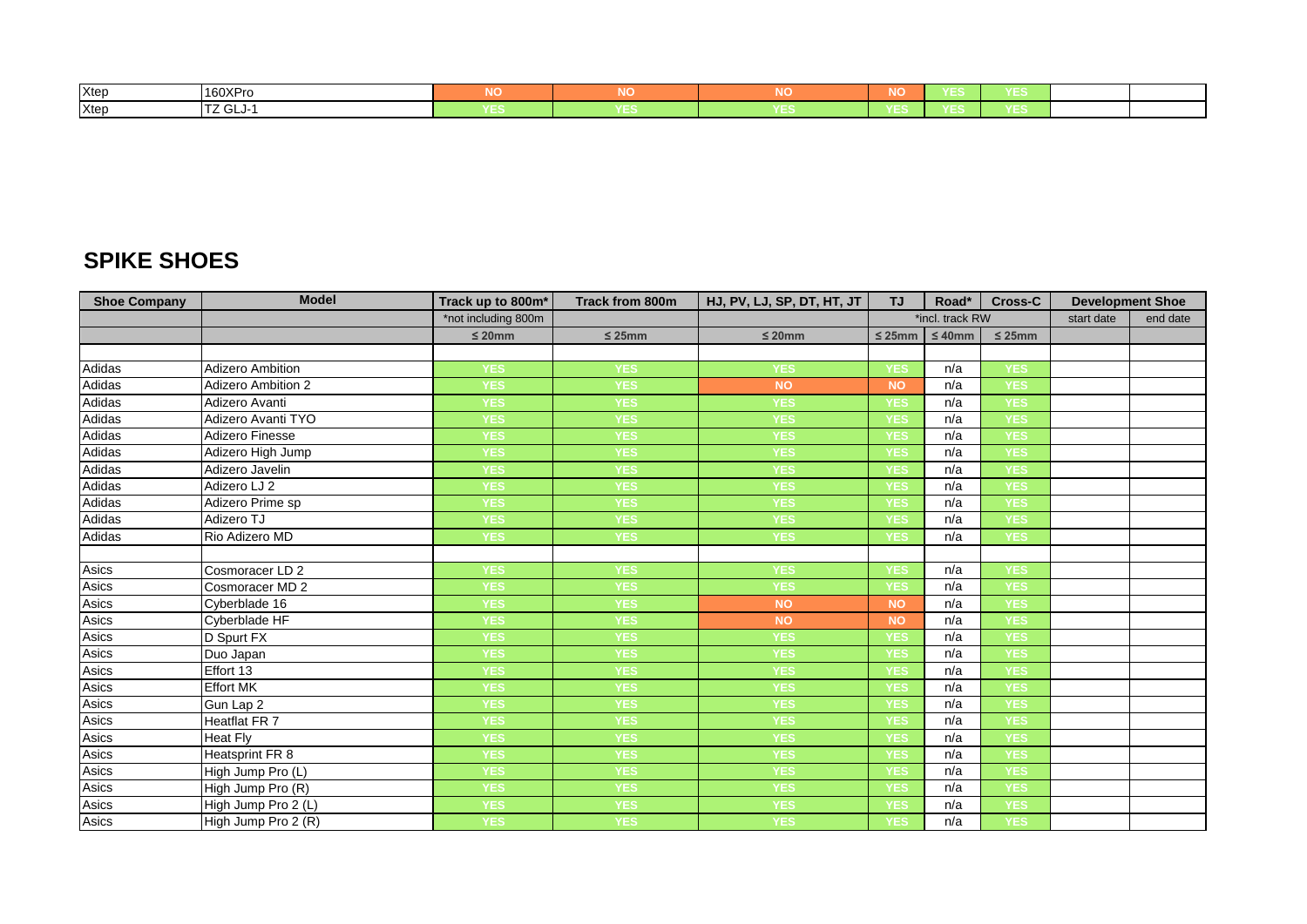| Xtep | 160XPro              | .      | <b>NIC</b><br>NU | ____ | .   |  |
|------|----------------------|--------|------------------|------|-----|--|
| Xtep | . .<br>.<br>י טבע גו | $\sim$ | ___              |      | ___ |  |

## **SPIKE SHOES**

| <b>Shoe Company</b> | <b>Model</b>              | Track up to 800m*   | <b>Track from 800m</b> | HJ, PV, LJ, SP, DT, HT, JT | <b>TJ</b>   | Road*           | <b>Cross-C</b> | <b>Development Shoe</b> |          |
|---------------------|---------------------------|---------------------|------------------------|----------------------------|-------------|-----------------|----------------|-------------------------|----------|
|                     |                           | *not including 800m |                        |                            |             | *incl. track RW |                | start date              | end date |
|                     |                           | $\leq 20$ mm        | $\leq$ 25mm            | $\leq 20$ mm               | $\leq$ 25mm | $\leq 40$ mm    | $\leq 25$ mm   |                         |          |
|                     |                           |                     |                        |                            |             |                 |                |                         |          |
| Adidas              | <b>Adizero Ambition</b>   | <b>YES</b>          | <b>YES</b>             | <b>YES</b>                 | YES         | n/a             | YES            |                         |          |
| Adidas              | <b>Adizero Ambition 2</b> | <b>YES</b>          | <b>YES</b>             | <b>NO</b>                  | <b>NO</b>   | n/a             | YES            |                         |          |
| Adidas              | Adizero Avanti            | <b>YES</b>          | <b>YES</b>             | <b>YES</b>                 | <b>YES</b>  | n/a             | <b>YES</b>     |                         |          |
| Adidas              | Adizero Avanti TYO        | <b>YES</b>          | YES                    | YES                        | YES         | n/a             | YES            |                         |          |
| Adidas              | <b>Adizero Finesse</b>    | <b>YES</b>          | <b>YES</b>             | <b>YES</b>                 | <b>YES</b>  | n/a             | <b>YES</b>     |                         |          |
| Adidas              | Adizero High Jump         | <b>YES</b>          | <b>YES</b>             | <b>YES</b>                 | YES         | n/a             | <b>YES</b>     |                         |          |
| Adidas              | Adizero Javelin           | <b>YES</b>          | YES                    | <b>YES</b>                 | YES         | n/a             | <b>YES</b>     |                         |          |
| Adidas              | Adizero LJ 2              | <b>YES</b>          | YES                    | <b>YES</b>                 | YES         | n/a             | <b>YES</b>     |                         |          |
| Adidas              | Adizero Prime sp          | <b>YES</b>          | <b>YES</b>             | <b>YES</b>                 | YES         | n/a             | <b>YES</b>     |                         |          |
| Adidas              | Adizero TJ                | <b>YES</b>          | <b>YES</b>             | YES                        | YES         | n/a             | <b>YES</b>     |                         |          |
| Adidas              | Rio Adizero MD            | <b>YES</b>          | <b>YES</b>             | <b>YES</b>                 | <b>YES</b>  | n/a             | <b>YES</b>     |                         |          |
|                     |                           |                     |                        |                            |             |                 |                |                         |          |
| Asics               | Cosmoracer LD 2           | <b>YES</b>          | <b>YES</b>             | <b>YES</b>                 | <b>YES</b>  | n/a             | <b>YES</b>     |                         |          |
| Asics               | Cosmoracer MD 2           | <b>YES</b>          | YES                    | <b>YES</b>                 | YES         | n/a             | <b>YES</b>     |                         |          |
| Asics               | Cyberblade 16             | <b>YES</b>          | <b>YES</b>             | <b>NO</b>                  | <b>NO</b>   | n/a             | <b>YES</b>     |                         |          |
| Asics               | Cyberblade HF             | <b>YES</b>          | YES                    | <b>NO</b>                  | <b>NO</b>   | n/a             | <b>YES</b>     |                         |          |
| Asics               | D Spurt FX                | <b>YES</b>          | YES                    | <b>YES</b>                 | <b>YES</b>  | n/a             | <b>YES</b>     |                         |          |
| Asics               | Duo Japan                 | <b>YES</b>          | <b>YES</b>             | <b>YES</b>                 | <b>YES</b>  | n/a             | YES            |                         |          |
| Asics               | Effort 13                 | <b>YES</b>          | <b>YES</b>             | YES                        | YES         | n/a             | YES            |                         |          |
| Asics               | Effort MK                 | <b>YES</b>          | <b>YES</b>             | <b>YES</b>                 | YES         | n/a             | <b>YES</b>     |                         |          |
| Asics               | Gun Lap 2                 | <b>YES</b>          | <b>YES</b>             | <b>YES</b>                 | YES         | n/a             | YES            |                         |          |
| Asics               | Heatflat FR 7             | <b>YES</b>          | <b>YES</b>             | <b>YES</b>                 | <b>YES</b>  | n/a             | <b>YES</b>     |                         |          |
| Asics               | Heat Fly                  | <b>YES</b>          | <b>YES</b>             | <b>YES</b>                 | <b>YES</b>  | n/a             | <b>YES</b>     |                         |          |
| Asics               | Heatsprint FR 8           | <b>YES</b>          | <b>YES</b>             | <b>YES</b>                 | YES         | n/a             | YES            |                         |          |
| Asics               | High Jump Pro (L)         | <b>YES</b>          | <b>YES</b>             | <b>YES</b>                 | YES         | n/a             | <b>YES</b>     |                         |          |
| Asics               | High Jump Pro (R)         | <b>YES</b>          | <b>YES</b>             | <b>YES</b>                 | <b>YES</b>  | n/a             | <b>YES</b>     |                         |          |
| Asics               | High Jump Pro 2 (L)       | <b>YES</b>          | <b>YES</b>             | YES                        | YES         | n/a             | <b>YES</b>     |                         |          |
| Asics               | High Jump Pro 2 (R)       | <b>YES</b>          | YES                    | <b>YES</b>                 | YES         | n/a             | <b>YES</b>     |                         |          |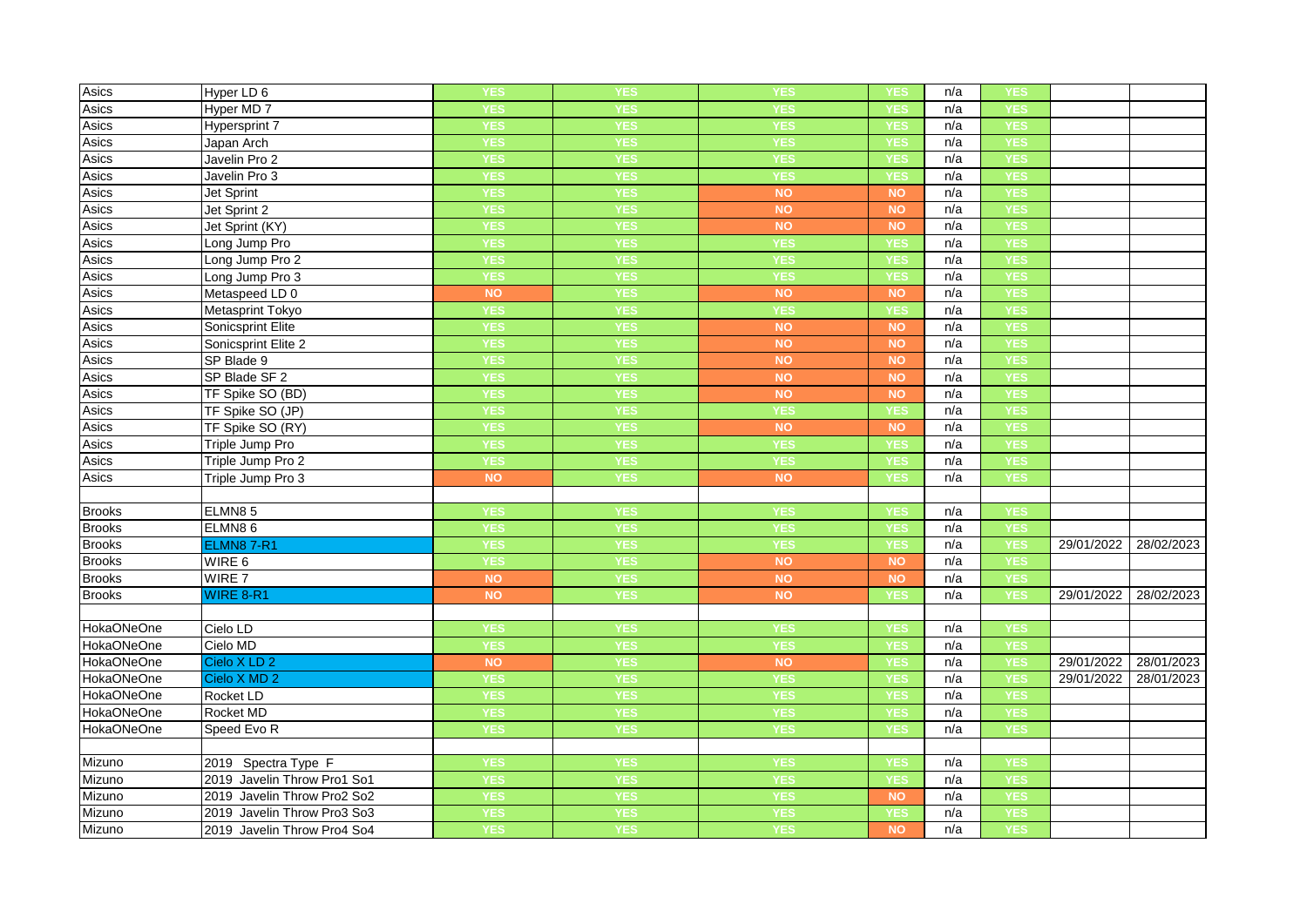| Asics             | Hyper LD 6                  | <b>YES</b> | YES        | <b>YES</b> | YES        | n/a | YES        |            |            |
|-------------------|-----------------------------|------------|------------|------------|------------|-----|------------|------------|------------|
| Asics             | Hyper MD 7                  | <b>YES</b> | <b>YES</b> | <b>YES</b> | <b>YES</b> | n/a | <b>YES</b> |            |            |
| Asics             | <b>Hypersprint 7</b>        | <b>YES</b> | <b>YES</b> | <b>YES</b> | <b>YES</b> | n/a | <b>YES</b> |            |            |
| Asics             | Japan Arch                  | <b>YES</b> | <b>YES</b> | <b>YES</b> | YES        | n/a | <b>YES</b> |            |            |
| Asics             | Javelin Pro 2               | <b>YES</b> | <b>YES</b> | <b>YES</b> | <b>YES</b> | n/a | <b>YES</b> |            |            |
| Asics             | Javelin Pro 3               | <b>YES</b> | <b>YES</b> | <b>YES</b> | <b>YES</b> | n/a | <b>YES</b> |            |            |
| Asics             | Jet Sprint                  | <b>YES</b> | <b>YES</b> | <b>NO</b>  | <b>NO</b>  | n/a | <b>YES</b> |            |            |
| Asics             | Jet Sprint 2                | <b>YES</b> | <b>YES</b> | <b>NO</b>  | <b>NO</b>  | n/a | <b>YES</b> |            |            |
| Asics             | Jet Sprint (KY)             | <b>YES</b> | <b>YES</b> | <b>NO</b>  | <b>NO</b>  | n/a | <b>YES</b> |            |            |
| Asics             | Long Jump Pro               | <b>YES</b> | <b>YES</b> | <b>YES</b> | YES        | n/a | <b>YES</b> |            |            |
| Asics             | Long Jump Pro 2             | <b>YES</b> | <b>YES</b> | <b>YES</b> | <b>YES</b> | n/a | <b>YES</b> |            |            |
| Asics             | Long Jump Pro 3             | <b>YES</b> | <b>YES</b> | <b>YES</b> | <b>YES</b> | n/a | <b>YES</b> |            |            |
| Asics             | Metaspeed LD 0              | <b>NO</b>  | <b>YES</b> | <b>NO</b>  | <b>NO</b>  | n/a | <b>YES</b> |            |            |
| Asics             | Metasprint Tokyo            | <b>YES</b> | <b>YES</b> | <b>YES</b> | YES        | n/a | <b>YES</b> |            |            |
| Asics             | Sonicsprint Elite           | <b>YES</b> | <b>YES</b> | <b>NO</b>  | <b>NO</b>  | n/a | <b>YES</b> |            |            |
| Asics             | Sonicsprint Elite 2         | <b>YES</b> | <b>YES</b> | <b>NO</b>  | <b>NO</b>  | n/a | <b>YES</b> |            |            |
| Asics             | SP Blade 9                  | <b>YES</b> | <b>YES</b> | <b>NO</b>  | <b>NO</b>  | n/a | <b>YES</b> |            |            |
| Asics             | SP Blade SF 2               | <b>YES</b> | <b>YES</b> | <b>NO</b>  | <b>NO</b>  | n/a | <b>YES</b> |            |            |
| Asics             | TF Spike SO (BD)            | <b>YES</b> | <b>YES</b> | <b>NO</b>  | <b>NO</b>  | n/a | <b>YES</b> |            |            |
| Asics             | TF Spike SO (JP)            | <b>YES</b> | <b>YES</b> | <b>YES</b> | <b>YES</b> | n/a | <b>YES</b> |            |            |
| Asics             | TF Spike SO (RY)            | <b>YES</b> | <b>YES</b> | <b>NO</b>  | <b>NO</b>  | n/a | <b>YES</b> |            |            |
| Asics             | Triple Jump Pro             | <b>YES</b> | <b>YES</b> | <b>YES</b> | <b>YES</b> | n/a | <b>YES</b> |            |            |
| Asics             | Triple Jump Pro 2           | <b>YES</b> | <b>YES</b> | <b>YES</b> | YES        | n/a | <b>YES</b> |            |            |
| Asics             | Triple Jump Pro 3           | <b>NO</b>  | <b>YES</b> | <b>NO</b>  | <b>YES</b> | n/a | <b>YES</b> |            |            |
|                   |                             |            |            |            |            |     |            |            |            |
| <b>Brooks</b>     | ELMN85                      | <b>YES</b> | <b>YES</b> | <b>YES</b> | YES        | n/a | <b>YES</b> |            |            |
| <b>Brooks</b>     | ELMN86                      | <b>YES</b> | <b>YES</b> | <b>YES</b> | <b>YES</b> | n/a | <b>YES</b> |            |            |
| <b>Brooks</b>     | <b>ELMN87-R1</b>            | <b>YES</b> | <b>YES</b> | <b>YES</b> | <b>YES</b> | n/a | <b>YES</b> | 29/01/2022 | 28/02/2023 |
| <b>Brooks</b>     | WIRE 6                      | <b>YES</b> | <b>YES</b> | <b>NO</b>  | <b>NO</b>  | n/a | <b>YES</b> |            |            |
| <b>Brooks</b>     | WIRE 7                      | <b>NO</b>  | <b>YES</b> | <b>NO</b>  | <b>NO</b>  | n/a | <b>YES</b> |            |            |
| <b>Brooks</b>     | WIRE 8-R1                   | <b>NO</b>  | <b>YES</b> | <b>NO</b>  | <b>YES</b> | n/a | <b>YES</b> | 29/01/2022 | 28/02/2023 |
|                   |                             |            |            |            |            |     |            |            |            |
| <b>HokaONeOne</b> | Cielo LD                    | <b>YES</b> | <b>YES</b> | <b>YES</b> | YES        | n/a | <b>YES</b> |            |            |
| <b>HokaONeOne</b> | Cielo MD                    | <b>YES</b> | <b>YES</b> | <b>YES</b> | <b>YES</b> | n/a | <b>YES</b> |            |            |
| <b>HokaONeOne</b> | Cielo X LD 2                | <b>NO</b>  | <b>YES</b> | <b>NO</b>  | <b>YES</b> | n/a | <b>YES</b> | 29/01/2022 | 28/01/2023 |
| <b>HokaONeOne</b> | Cielo X MD 2                | <b>YES</b> | <b>YES</b> | <b>YES</b> | <b>YES</b> | n/a | YES        | 29/01/2022 | 28/01/2023 |
| <b>HokaONeOne</b> | Rocket LD                   | <b>YES</b> | <b>YES</b> | <b>YES</b> | <b>YES</b> | n/a | <b>YES</b> |            |            |
| <b>HokaONeOne</b> | Rocket MD                   | <b>YES</b> | <b>YES</b> | <b>YES</b> | <b>YES</b> | n/a | <b>YES</b> |            |            |
| <b>HokaONeOne</b> | Speed Evo R                 | <b>YES</b> | YES        | <b>YES</b> | YES        | n/a | <b>YES</b> |            |            |
|                   |                             |            |            |            |            |     |            |            |            |
| Mizuno            | 2019 Spectra Type F         | <b>YES</b> | <b>YES</b> | <b>YES</b> | <b>YES</b> | n/a | <b>YES</b> |            |            |
| Mizuno            | 2019 Javelin Throw Pro1 So1 | <b>YES</b> | YES        | <b>YES</b> | YES        | n/a | YES        |            |            |
| Mizuno            | 2019 Javelin Throw Pro2 So2 | <b>YES</b> | YES        | <b>YES</b> | <b>NO</b>  | n/a | <b>YES</b> |            |            |
| Mizuno            | 2019 Javelin Throw Pro3 So3 | <b>YES</b> | <b>YES</b> | <b>YES</b> | <b>YES</b> | n/a | <b>YES</b> |            |            |
| Mizuno            | 2019 Javelin Throw Pro4 So4 | <b>YES</b> | <b>YES</b> | <b>YES</b> | <b>NO</b>  | n/a | <b>YES</b> |            |            |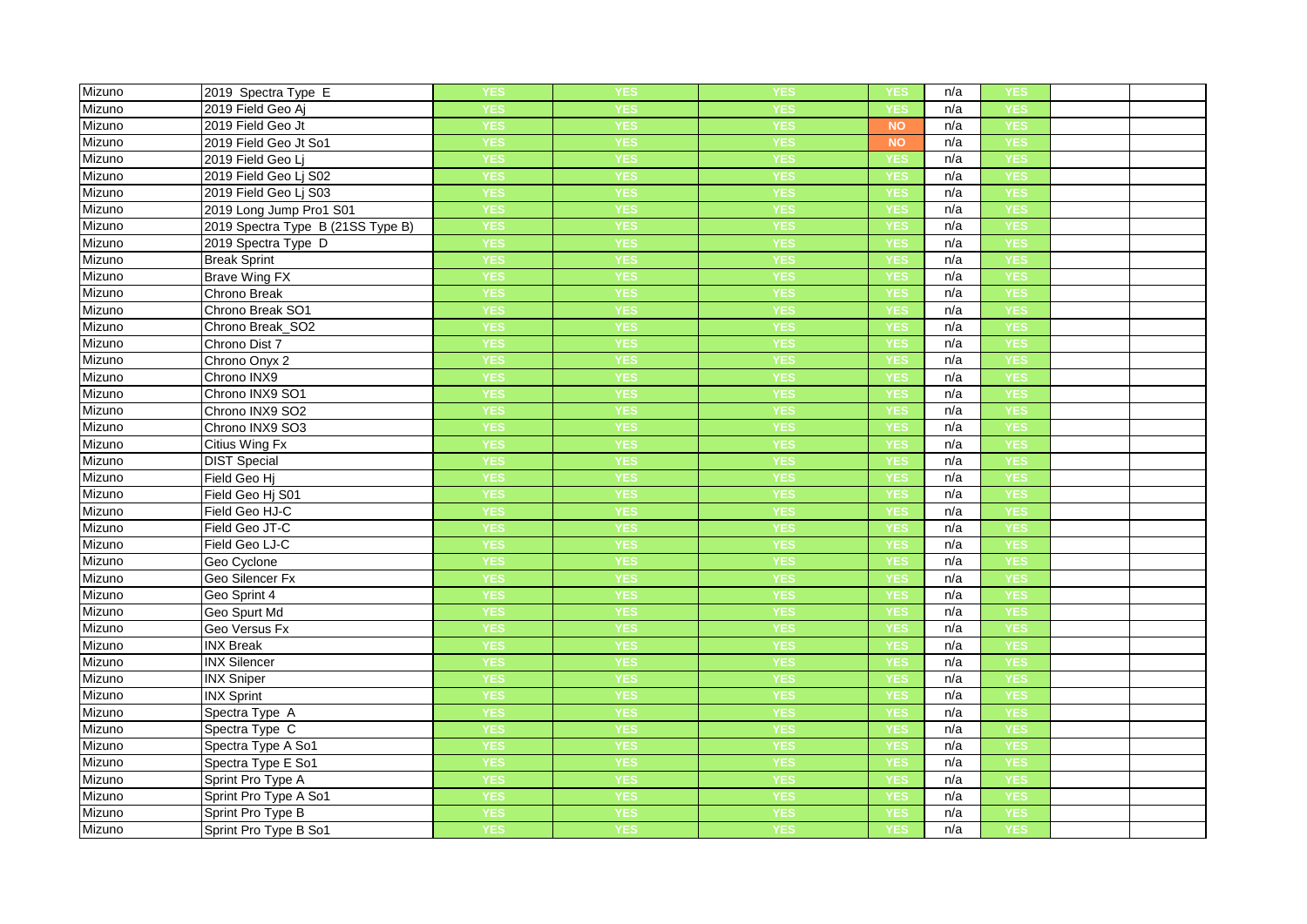| Mizuno | 2019 Spectra Type E               | <b>YES</b> | YES        | <b>YES</b> | YES        | n/a | YES        |  |
|--------|-----------------------------------|------------|------------|------------|------------|-----|------------|--|
| Mizuno | 2019 Field Geo Aj                 | <b>YES</b> | <b>YES</b> | <b>YES</b> | <b>YES</b> | n/a | <b>YES</b> |  |
| Mizuno | 2019 Field Geo Jt                 | <b>YES</b> | <b>YES</b> | <b>YES</b> | <b>NO</b>  | n/a | <b>YES</b> |  |
| Mizuno | 2019 Field Geo Jt So1             | <b>YES</b> | <b>YES</b> | <b>YES</b> | <b>NO</b>  | n/a | YES        |  |
| Mizuno | 2019 Field Geo Lj                 | <b>YES</b> | <b>YES</b> | <b>YES</b> | <b>YES</b> | n/a | <b>YES</b> |  |
| Mizuno | 2019 Field Geo Lj S02             | <b>YES</b> | <b>YES</b> | <b>YES</b> | <b>YES</b> | n/a | <b>YES</b> |  |
| Mizuno | 2019 Field Geo Lj S03             | <b>YES</b> | <b>YES</b> | <b>YES</b> | YES        | n/a | YES        |  |
| Mizuno | 2019 Long Jump Pro1 S01           | <b>YES</b> | <b>YES</b> | <b>YES</b> | <b>YES</b> | n/a | <b>YES</b> |  |
| Mizuno | 2019 Spectra Type B (21SS Type B) | <b>YES</b> | <b>YES</b> | <b>YES</b> | <b>YES</b> | n/a | <b>YES</b> |  |
| Mizuno | 2019 Spectra Type D               | <b>YES</b> | <b>YES</b> | <b>YES</b> | YES        | n/a | YES        |  |
| Mizuno | <b>Break Sprint</b>               | <b>YES</b> | <b>YES</b> | <b>YES</b> | <b>YES</b> | n/a | <b>YES</b> |  |
| Mizuno | <b>Brave Wing FX</b>              | <b>YES</b> | <b>YES</b> | <b>YES</b> | <b>YES</b> | n/a | <b>YES</b> |  |
| Mizuno | Chrono Break                      | <b>YES</b> | YES        | <b>YES</b> | YES        | n/a | <b>YES</b> |  |
| Mizuno | Chrono Break SO1                  | <b>YES</b> | <b>YES</b> | <b>YES</b> | <b>YES</b> | n/a | YES        |  |
| Mizuno | Chrono Break_SO2                  | <b>YES</b> | <b>YES</b> | <b>YES</b> | <b>YES</b> | n/a | <b>YES</b> |  |
| Mizuno | Chrono Dist 7                     | <b>YES</b> | <b>YES</b> | <b>YES</b> | <b>YES</b> | n/a | <b>YES</b> |  |
| Mizuno | Chrono Onyx 2                     | <b>YES</b> | <b>YES</b> | <b>YES</b> | <b>YES</b> | n/a | <b>YES</b> |  |
| Mizuno | Chrono INX9                       | <b>YES</b> | <b>YES</b> | <b>YES</b> | <b>YES</b> | n/a | <b>YES</b> |  |
| Mizuno | Chrono INX9 SO1                   | <b>YES</b> | <b>YES</b> | <b>YES</b> | <b>YES</b> | n/a | <b>YES</b> |  |
| Mizuno | Chrono INX9 SO2                   | <b>YES</b> | <b>YES</b> | <b>YES</b> | <b>YES</b> | n/a | <b>YES</b> |  |
| Mizuno | Chrono INX9 SO3                   | <b>YES</b> | <b>YES</b> | <b>YES</b> | <b>YES</b> | n/a | <b>YES</b> |  |
| Mizuno | Citius Wing Fx                    | <b>YES</b> | <b>YES</b> | <b>YES</b> | <b>YES</b> | n/a | <b>YES</b> |  |
| Mizuno | <b>DIST Special</b>               | <b>YES</b> | <b>YES</b> | <b>YES</b> | YES        | n/a | YES        |  |
| Mizuno | Field Geo Hj                      | <b>YES</b> | <b>YES</b> | <b>YES</b> | <b>YES</b> | n/a | <b>YES</b> |  |
| Mizuno | Field Geo Hj S01                  | <b>YES</b> | <b>YES</b> | <b>YES</b> | <b>YES</b> | n/a | <b>YES</b> |  |
| Mizuno | Field Geo HJ-C                    | <b>YES</b> | <b>YES</b> | <b>YES</b> | <b>YES</b> | n/a | <b>YES</b> |  |
| Mizuno | Field Geo JT-C                    | <b>YES</b> | <b>YES</b> | <b>YES</b> | <b>YES</b> | n/a | <b>YES</b> |  |
| Mizuno | Field Geo LJ-C                    | <b>YES</b> | <b>YES</b> | <b>YES</b> | <b>YES</b> | n/a | <b>YES</b> |  |
| Mizuno | Geo Cyclone                       | <b>YES</b> | <b>YES</b> | <b>YES</b> | <b>YES</b> | n/a | <b>YES</b> |  |
| Mizuno | Geo Silencer Fx                   | <b>YES</b> | <b>YES</b> | <b>YES</b> | <b>YES</b> | n/a | <b>YES</b> |  |
| Mizuno | Geo Sprint 4                      | <b>YES</b> | <b>YES</b> | <b>YES</b> | <b>YES</b> | n/a | <b>YES</b> |  |
| Mizuno | Geo Spurt Md                      | <b>YES</b> | <b>YES</b> | <b>YES</b> | YES        | n/a | <b>YES</b> |  |
| Mizuno | Geo Versus Fx                     | <b>YES</b> | <b>YES</b> | <b>YES</b> | <b>YES</b> | n/a | <b>YES</b> |  |
| Mizuno | <b>INX Break</b>                  | <b>YES</b> | <b>YES</b> | <b>YES</b> | <b>YES</b> | n/a | <b>YES</b> |  |
| Mizuno | <b>INX Silencer</b>               | <b>YES</b> | <b>YES</b> | <b>YES</b> | <b>YES</b> | n/a | <b>YES</b> |  |
| Mizuno | <b>INX Sniper</b>                 | <b>YES</b> | YES        | <b>YES</b> | <b>YES</b> | n/a | <b>YES</b> |  |
| Mizuno | <b>INX Sprint</b>                 | <b>YES</b> | <b>YES</b> | <b>YES</b> | <b>YES</b> | n/a | <b>YES</b> |  |
| Mizuno | Spectra Type A                    | <b>YES</b> | <b>YES</b> | <b>YES</b> | <b>YES</b> | n/a | <b>YES</b> |  |
| Mizuno | Spectra Type C                    | <b>YES</b> | <b>YES</b> | <b>YES</b> | <b>YES</b> | n/a | <b>YES</b> |  |
| Mizuno | Spectra Type A So1                | <b>YES</b> | <b>YES</b> | <b>YES</b> | <b>YES</b> | n/a | <b>YES</b> |  |
| Mizuno | Spectra Type E So1                | <b>YES</b> | <b>YES</b> | <b>YES</b> | <b>YES</b> | n/a | <b>YES</b> |  |
| Mizuno | Sprint Pro Type A                 | <b>YES</b> | <b>YES</b> | <b>YES</b> | <b>YES</b> | n/a | <b>YES</b> |  |
| Mizuno | Sprint Pro Type A So1             | <b>YES</b> | <b>YES</b> | <b>YES</b> | <b>YES</b> | n/a | <b>YES</b> |  |
| Mizuno | Sprint Pro Type B                 | <b>YES</b> | <b>YES</b> | <b>YES</b> | <b>YES</b> | n/a | <b>YES</b> |  |
| Mizuno | Sprint Pro Type B So1             | <b>YES</b> | YES        | YES        | YES        | n/a | YES        |  |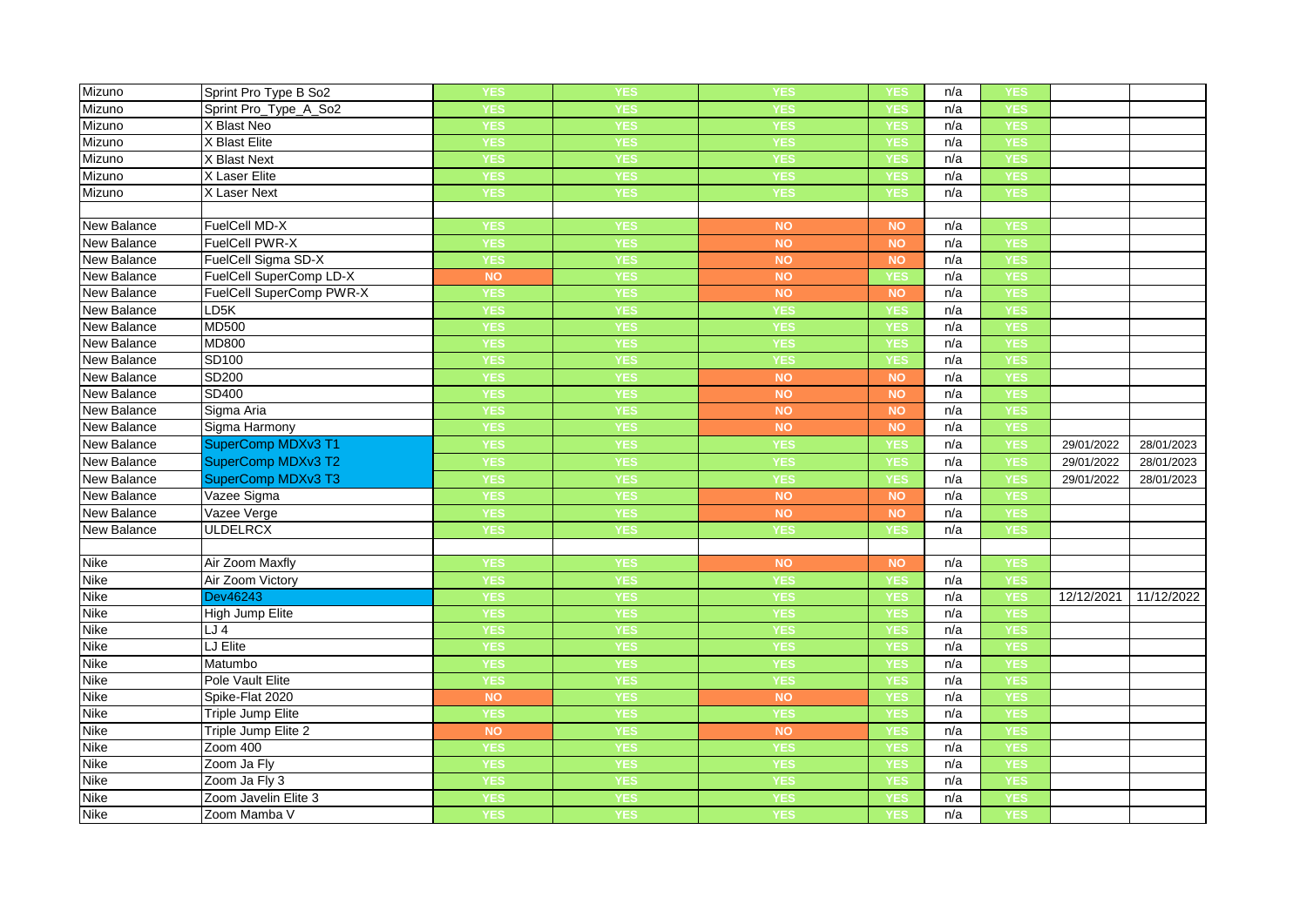| Mizuno             | Sprint Pro Type B So2    | YES        | YES        | YES        | YES           | n/a | YES        |            |            |
|--------------------|--------------------------|------------|------------|------------|---------------|-----|------------|------------|------------|
| Mizuno             | Sprint Pro_Type_A_So2    | <b>YES</b> | <b>YES</b> | <b>YES</b> | YES           | n/a | <b>YES</b> |            |            |
| Mizuno             | X Blast Neo              | <b>YES</b> | YES        | <b>YES</b> | YES           | n/a | YES        |            |            |
| Mizuno             | X Blast Elite            | <b>YES</b> | <b>YES</b> | <b>YES</b> | <b>YES</b>    | n/a | <b>YES</b> |            |            |
| Mizuno             | X Blast Next             | <b>YES</b> | <b>YES</b> | <b>YES</b> | <b>YES</b>    | n/a | <b>YES</b> |            |            |
| Mizuno             | X Laser Elite            | <b>YES</b> | YES        | <b>YES</b> | YES           | n/a | YES        |            |            |
| Mizuno             | X Laser Next             | <b>YES</b> | <b>YES</b> | <b>YES</b> | YES           | n/a | <b>YES</b> |            |            |
|                    |                          |            |            |            |               |     |            |            |            |
| New Balance        | FuelCell MD-X            | <b>YES</b> | YES        | <b>NO</b>  | NO            | n/a | <b>YES</b> |            |            |
| <b>New Balance</b> | <b>FuelCell PWR-X</b>    | <b>YES</b> | <b>YES</b> | <b>NO</b>  | <b>NO</b>     | n/a | <b>YES</b> |            |            |
| New Balance        | FuelCell Sigma SD-X      | <b>YES</b> | YES        | <b>NO</b>  | NO            | n/a | YES        |            |            |
| New Balance        | FuelCell SuperComp LD-X  | <b>NO</b>  | <b>YES</b> | <b>NO</b>  | <b>YES</b>    | n/a | <b>YES</b> |            |            |
| New Balance        | FuelCell SuperComp PWR-X | <b>YES</b> | <b>YES</b> | <b>NO</b>  | $NO$          | n/a | <b>YES</b> |            |            |
| New Balance        | LD5K                     | <b>YES</b> | YES        | YES        | YES           | n/a | <b>YES</b> |            |            |
| New Balance        | <b>MD500</b>             | <b>YES</b> | <b>YES</b> | <b>YES</b> | <b>YES</b>    | n/a | <b>YES</b> |            |            |
| New Balance        | <b>MD800</b>             | <b>YES</b> | <b>YES</b> | <b>YES</b> | YES           | n/a | YES        |            |            |
| <b>New Balance</b> | SD100                    | <b>YES</b> | <b>YES</b> | <b>YES</b> | <b>YES</b>    | n/a | YES        |            |            |
| <b>New Balance</b> | SD200                    | <b>YES</b> | <b>YES</b> | <b>NO</b>  | <b>NO</b>     | n/a | <b>YES</b> |            |            |
| <b>New Balance</b> | <b>SD400</b>             | <b>YES</b> | <b>YES</b> | <b>NO</b>  | NO            | n/a | <b>YES</b> |            |            |
| <b>New Balance</b> | Sigma Aria               | <b>YES</b> | <b>YES</b> | <b>NO</b>  | NO            | n/a | <b>YES</b> |            |            |
| <b>New Balance</b> | Sigma Harmony            | <b>YES</b> | <b>YES</b> | <b>NO</b>  | NO            | n/a | <b>YES</b> |            |            |
| New Balance        | SuperComp MDXv3 T1       | <b>YES</b> | YES        | <b>YES</b> | <b>YES</b>    | n/a | YES        | 29/01/2022 | 28/01/2023 |
| New Balance        | SuperComp MDXv3 T2       | <b>YES</b> | <b>YES</b> | <b>YES</b> | <b>YES</b>    | n/a | YES        | 29/01/2022 | 28/01/2023 |
| New Balance        | SuperComp MDXv3 T3       | <b>YES</b> | <b>YES</b> | <b>YES</b> | <b>YES</b>    | n/a | <b>YES</b> | 29/01/2022 | 28/01/2023 |
| New Balance        | Vazee Sigma              | <b>YES</b> | <b>YES</b> | <b>NO</b>  | $\mathsf{NO}$ | n/a | <b>YES</b> |            |            |
| <b>New Balance</b> | Vazee Verge              | <b>YES</b> | YES        | <b>NO</b>  | <b>NO</b>     | n/a | <b>YES</b> |            |            |
| New Balance        | <b>ULDELRCX</b>          | <b>YES</b> | YES        | <b>YES</b> | YES           | n/a | <b>YES</b> |            |            |
|                    |                          |            |            |            |               |     |            |            |            |
| <b>Nike</b>        | Air Zoom Maxfly          | <b>YES</b> | YES        | <b>NO</b>  | <b>NO</b>     | n/a | <b>YES</b> |            |            |
| <b>Nike</b>        | Air Zoom Victory         | <b>YES</b> | <b>YES</b> | <b>YES</b> | <b>YES</b>    | n/a | <b>YES</b> |            |            |
| <b>Nike</b>        | Dev46243                 | <b>YES</b> | YES        | <b>YES</b> | YES           | n/a | YES        | 12/12/2021 | 11/12/2022 |
| <b>Nike</b>        | High Jump Elite          | <b>YES</b> | YES        | <b>YES</b> | <b>YES</b>    | n/a | <b>YES</b> |            |            |
| <b>Nike</b>        | LJ4                      | <b>YES</b> | <b>YES</b> | <b>YES</b> | YES           | n/a | YES        |            |            |
| <b>Nike</b>        | LJ Elite                 | <b>YES</b> | <b>YES</b> | <b>YES</b> | <b>YES</b>    | n/a | <b>YES</b> |            |            |
| <b>Nike</b>        | Matumbo                  | <b>YES</b> | <b>YES</b> | <b>YES</b> | <b>YES</b>    | n/a | <b>YES</b> |            |            |
| Nike               | Pole Vault Elite         | <b>YES</b> | <b>YES</b> | <b>YES</b> | YES           | n/a | <b>YES</b> |            |            |
| Nike               | Spike-Flat 2020          | <b>NO</b>  | <b>YES</b> | <b>NO</b>  | YES           | n/a | <b>YES</b> |            |            |
| <b>Nike</b>        | <b>Triple Jump Elite</b> | <b>YES</b> | <b>YES</b> | <b>YES</b> | YES           | n/a | <b>YES</b> |            |            |
| <b>Nike</b>        | Triple Jump Elite 2      | NO         | <b>YES</b> | <b>NO</b>  | <b>YES</b>    | n/a | YES        |            |            |
| <b>Nike</b>        | Zoom 400                 | <b>YES</b> | <b>YES</b> | <b>YES</b> | <b>YES</b>    | n/a | <b>YES</b> |            |            |
| <b>Nike</b>        | Zoom Ja Fly              | <b>YES</b> | <b>YES</b> | YES        | <b>/ES</b>    | n/a | YES        |            |            |
| <b>Nike</b>        | Zoom Ja Fly 3            | <b>YES</b> | YES        | <b>YES</b> | <b>YES</b>    | n/a | <b>YES</b> |            |            |
| <b>Nike</b>        | Zoom Javelin Elite 3     | <b>YES</b> | <b>YES</b> | <b>YES</b> | <b>YES</b>    | n/a | <b>YES</b> |            |            |
| <b>Nike</b>        | Zoom Mamba V             | <b>YES</b> | <b>YES</b> | <b>YES</b> | <b>YES</b>    | n/a | <b>YES</b> |            |            |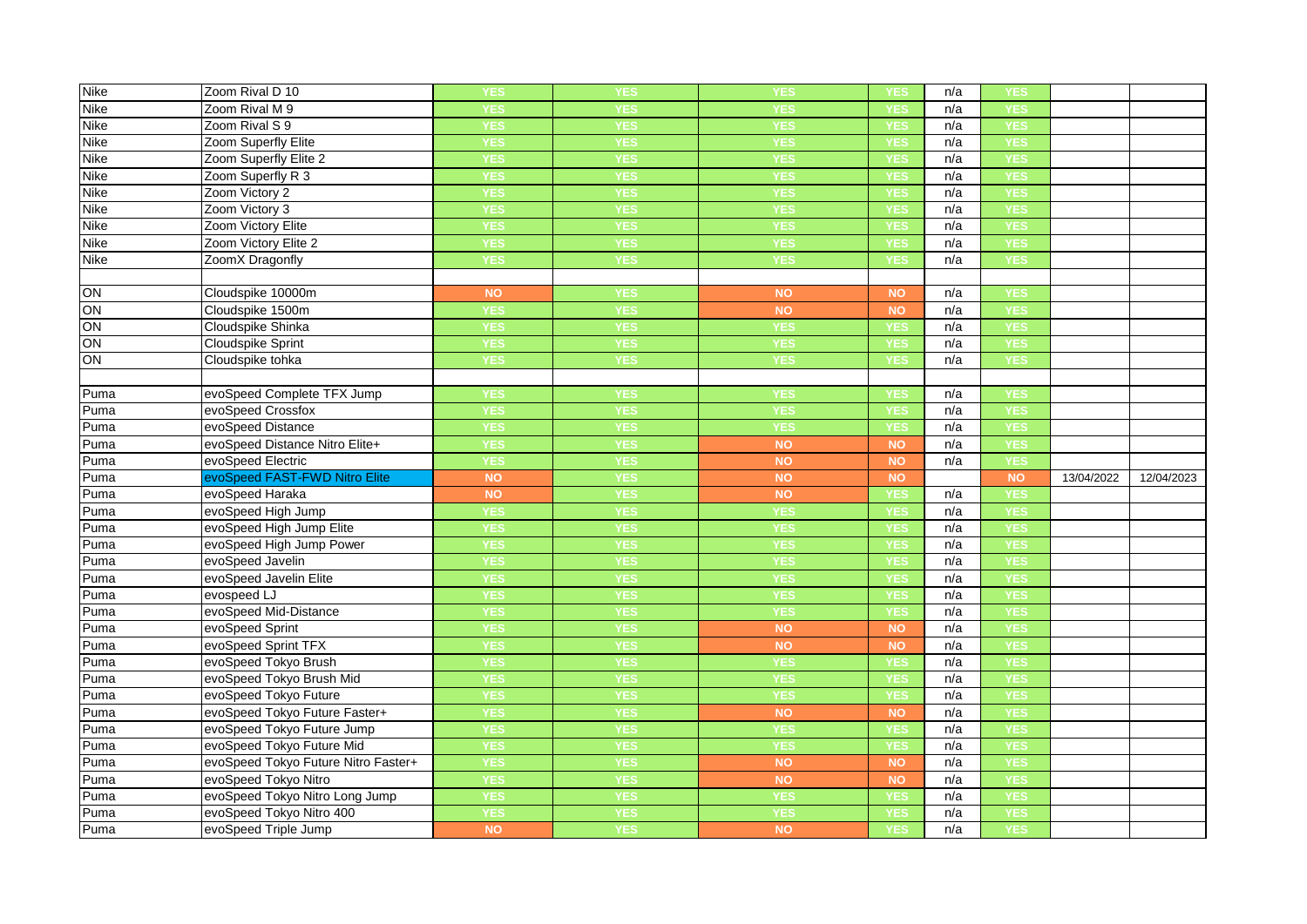| <b>Nike</b>  | Zoom Rival D 10                                  | YES              | YES               | YES        | YES        | n/a | <b>YES</b>        |            |            |
|--------------|--------------------------------------------------|------------------|-------------------|------------|------------|-----|-------------------|------------|------------|
| Nike         | Zoom Rival M 9                                   | <b>YES</b>       | <b>YES</b>        | <b>YES</b> | <b>YES</b> | n/a | <b>YES</b>        |            |            |
| Nike         | Zoom Rival S 9                                   | <b>YES</b>       | <b>YES</b>        | <b>YES</b> | YES        | n/a | <b>YES</b>        |            |            |
| Nike         | Zoom Superfly Elite                              | <b>YES</b>       | YES               | <b>YES</b> | YES        | n/a | <b>YES</b>        |            |            |
| Nike         | Zoom Superfly Elite 2                            | <b>YES</b>       | <b>YES</b>        | <b>YES</b> | <b>YES</b> | n/a | <b>YES</b>        |            |            |
| <b>Nike</b>  | Zoom Superfly R 3                                | <b>YES</b>       | <b>YES</b>        | <b>YES</b> | <b>YES</b> | n/a | <b>YES</b>        |            |            |
| Nike         | Zoom Victory 2                                   | <b>YES</b>       | <b>YES</b>        | <b>YES</b> | YES        | n/a | YES               |            |            |
| <b>Nike</b>  | Zoom Victory 3                                   | <b>YES</b>       | <b>YES</b>        | <b>YES</b> | YES        | n/a | <b>YES</b>        |            |            |
| Nike         | Zoom Victory Elite                               | <b>YES</b>       | <b>YES</b>        | <b>YES</b> | YES        | n/a | <b>YES</b>        |            |            |
| <b>Nike</b>  | Zoom Victory Elite 2                             | <b>YES</b>       | <b>YES</b>        | <b>YES</b> | <b>/ES</b> | n/a | YES               |            |            |
| Nike         | ZoomX Dragonfly                                  | <b>YES</b>       | <b>YES</b>        | <b>YES</b> | <b>YES</b> | n/a | <b>YES</b>        |            |            |
|              |                                                  |                  |                   |            |            |     |                   |            |            |
| ON           | Cloudspike 10000m                                | <b>NO</b>        | <b>YES</b>        | <b>NO</b>  | <b>NO</b>  | n/a | <b>YES</b>        |            |            |
| ON           | Cloudspike 1500m                                 | <b>YES</b>       | <b>YES</b>        | <b>NO</b>  | <b>NO</b>  | n/a | <b>YES</b>        |            |            |
| ON           | Cloudspike Shinka                                | <b>YES</b>       | <b>YES</b>        | <b>YES</b> | YES        | n/a | <b>YES</b>        |            |            |
| ON           | <b>Cloudspike Sprint</b>                         | <b>YES</b>       | YES               | <b>YES</b> | <b>YES</b> | n/a | YES               |            |            |
| ON           | Cloudspike tohka                                 | <b>YES</b>       | <b>YES</b>        | <b>YES</b> | YES        | n/a | <b>YES</b>        |            |            |
|              |                                                  |                  |                   |            |            |     |                   |            |            |
| Puma         | evoSpeed Complete TFX Jump                       | <b>YES</b>       | <b>YES</b>        | <b>YES</b> | <b>YES</b> | n/a | <b>YES</b>        |            |            |
| Puma         | evoSpeed Crossfox                                | <b>YES</b>       | <b>YES</b>        | <b>YES</b> | YES        | n/a | <b>YES</b>        |            |            |
| Puma         | evoSpeed Distance                                | <b>YES</b>       | <b>YES</b>        | <b>YES</b> | YES        | n/a | <b>YES</b>        |            |            |
| Puma         | evoSpeed Distance Nitro Elite+                   | <b>YES</b>       | <b>YES</b>        | <b>NO</b>  | <b>NO</b>  | n/a | <b>YES</b>        |            |            |
|              |                                                  |                  |                   |            |            |     |                   |            |            |
| Puma         | evoSpeed Electric                                | <b>YES</b>       | YES               | <b>NO</b>  | <b>NO</b>  | n/a | <b>YES</b>        |            |            |
| Puma         | evoSpeed FAST-FWD Nitro Elite                    | <b>NO</b>        | <b>YES</b>        | <b>NO</b>  | <b>NO</b>  |     | NO                | 13/04/2022 | 12/04/2023 |
| Puma         | evoSpeed Haraka                                  | <b>NO</b>        | <b>YES</b>        | <b>NO</b>  | YES        | n/a | <b>YES</b>        |            |            |
| Puma         | evoSpeed High Jump                               | <b>YES</b>       | <b>YES</b>        | <b>YES</b> | YES        | n/a | <b>YES</b>        |            |            |
| Puma         | evoSpeed High Jump Elite                         | <b>YES</b>       | <b>YES</b>        | <b>YES</b> | YES        | n/a | <b>YES</b>        |            |            |
| Puma         | evoSpeed High Jump Power                         | <b>YES</b>       | <b>YES</b>        | <b>YES</b> | <b>YES</b> | n/a | <b>YES</b>        |            |            |
| Puma         | evoSpeed Javelin                                 | <b>YES</b>       | <b>YES</b>        | <b>YES</b> | YES        | n/a | <b>YES</b>        |            |            |
| Puma         | evoSpeed Javelin Elite                           | <b>YES</b>       | <b>YES</b>        | <b>YES</b> | <b>YES</b> | n/a | <b>YES</b>        |            |            |
| Puma         | evospeed LJ                                      | <b>YES</b>       | <b>YES</b>        | <b>YES</b> | <b>YES</b> | n/a | <b>YES</b>        |            |            |
| Puma         | evoSpeed Mid-Distance                            | <b>YES</b>       | <b>YES</b>        | <b>YES</b> | YES        | n/a | <b>YES</b>        |            |            |
| Puma         | evoSpeed Sprint                                  | <b>YES</b>       | <b>YES</b>        | <b>NO</b>  | <b>NO</b>  | n/a | <b>YES</b>        |            |            |
| Puma         | evoSpeed Sprint TFX                              | <b>YES</b>       | <b>YES</b>        | <b>NO</b>  | <b>NO</b>  | n/a | <b>YES</b>        |            |            |
| Puma         | evoSpeed Tokyo Brush                             | <b>YES</b>       | <b>YES</b>        | <b>YES</b> | YES        | n/a | <b>YES</b>        |            |            |
| Puma         | evoSpeed Tokyo Brush Mid                         | <b>YES</b>       | <b>YES</b>        | <b>YES</b> | YES        | n/a | YES               |            |            |
| Puma         | evoSpeed Tokyo Future                            | <b>YES</b>       | <b>YES</b>        | <b>YES</b> | YES        | n/a | <b>YES</b>        |            |            |
| Puma         | evoSpeed Tokyo Future Faster+                    | <b>YES</b>       | <b>YES</b>        | <b>NO</b>  | <b>NO</b>  | n/a | <b>YES</b>        |            |            |
| Puma         | evoSpeed Tokyo Future Jump                       | <b>YES</b>       | <b>YES</b>        | <b>YES</b> | YES        | n/a | <b>YES</b>        |            |            |
| Puma         | evoSpeed Tokyo Future Mid                        | <b>YES</b>       | <b>YES</b>        | <b>YES</b> | <b>YES</b> | n/a | <b>YES</b>        |            |            |
| Puma         | evoSpeed Tokyo Future Nitro Faster+              | <b>YES</b>       | <b>YES</b>        | <b>NO</b>  | <b>NO</b>  | n/a | <b>YES</b>        |            |            |
| Puma         | evoSpeed Tokyo Nitro                             | <b>YES</b>       | <b>YES</b>        | <b>NO</b>  | <b>NO</b>  | n/a | <b>YES</b>        |            |            |
| Puma         | evoSpeed Tokyo Nitro Long Jump                   | <b>YES</b>       | <b>YES</b>        | <b>YES</b> | <b>YES</b> | n/a | <b>YES</b>        |            |            |
| Puma<br>Puma | evoSpeed Tokyo Nitro 400<br>evoSpeed Triple Jump | <b>YES</b><br>NO | <b>YES</b><br>YES | <b>YES</b> | YES        | n/a | <b>YES</b><br>YES |            |            |